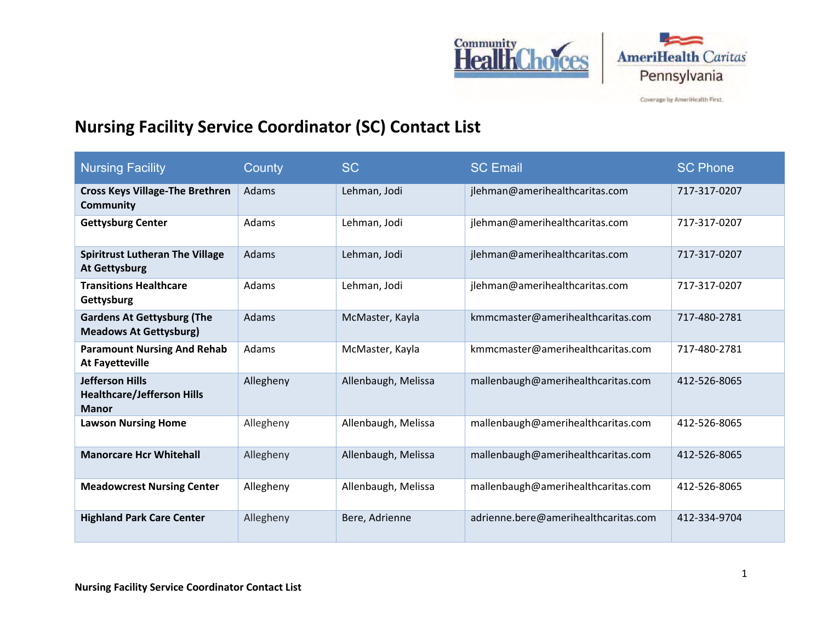



Coverage by AmeriHealth First.

## **Nursing Facility Service Coordinator (SC) Contact List**

| <b>Nursing Facility</b>                                                     | County    | <b>SC</b>           | <b>SC Email</b>                      | <b>SC Phone</b> |
|-----------------------------------------------------------------------------|-----------|---------------------|--------------------------------------|-----------------|
| <b>Cross Keys Village-The Brethren</b><br><b>Community</b>                  | Adams     | Lehman, Jodi        | jlehman@amerihealthcaritas.com       | 717-317-0207    |
| <b>Gettysburg Center</b>                                                    | Adams     | Lehman, Jodi        | jlehman@amerihealthcaritas.com       | 717-317-0207    |
| <b>Spiritrust Lutheran The Village</b><br><b>At Gettysburg</b>              | Adams     | Lehman, Jodi        | jlehman@amerihealthcaritas.com       | 717-317-0207    |
| <b>Transitions Healthcare</b><br>Gettysburg                                 | Adams     | Lehman, Jodi        | jlehman@amerihealthcaritas.com       | 717-317-0207    |
| <b>Gardens At Gettysburg (The</b><br><b>Meadows At Gettysburg)</b>          | Adams     | McMaster, Kayla     | kmmcmaster@amerihealthcaritas.com    | 717-480-2781    |
| <b>Paramount Nursing And Rehab</b><br><b>At Fayetteville</b>                | Adams     | McMaster, Kayla     | kmmcmaster@amerihealthcaritas.com    | 717-480-2781    |
| <b>Jefferson Hills</b><br><b>Healthcare/Jefferson Hills</b><br><b>Manor</b> | Allegheny | Allenbaugh, Melissa | mallenbaugh@amerihealthcaritas.com   | 412-526-8065    |
| <b>Lawson Nursing Home</b>                                                  | Allegheny | Allenbaugh, Melissa | mallenbaugh@amerihealthcaritas.com   | 412-526-8065    |
| <b>Manorcare Hcr Whitehall</b>                                              | Allegheny | Allenbaugh, Melissa | mallenbaugh@amerihealthcaritas.com   | 412-526-8065    |
| <b>Meadowcrest Nursing Center</b>                                           | Allegheny | Allenbaugh, Melissa | mallenbaugh@amerihealthcaritas.com   | 412-526-8065    |
| <b>Highland Park Care Center</b>                                            | Allegheny | Bere, Adrienne      | adrienne.bere@amerihealthcaritas.com | 412-334-9704    |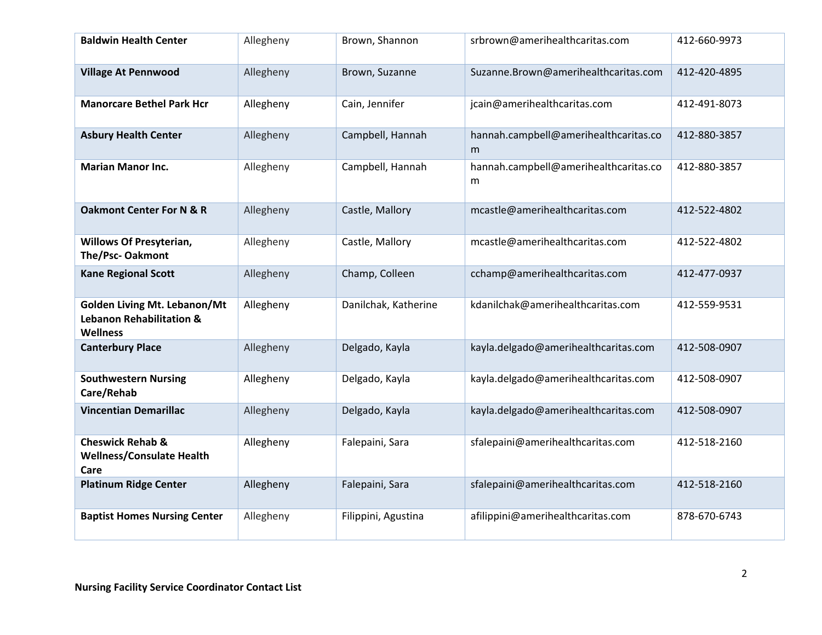| <b>Baldwin Health Center</b>                                                                  | Allegheny | Brown, Shannon       | srbrown@amerihealthcaritas.com             | 412-660-9973 |
|-----------------------------------------------------------------------------------------------|-----------|----------------------|--------------------------------------------|--------------|
| <b>Village At Pennwood</b>                                                                    | Allegheny | Brown, Suzanne       | Suzanne.Brown@amerihealthcaritas.com       | 412-420-4895 |
| <b>Manorcare Bethel Park Hcr</b>                                                              | Allegheny | Cain, Jennifer       | jcain@amerihealthcaritas.com               | 412-491-8073 |
| <b>Asbury Health Center</b>                                                                   | Allegheny | Campbell, Hannah     | hannah.campbell@amerihealthcaritas.co<br>m | 412-880-3857 |
| <b>Marian Manor Inc.</b>                                                                      | Allegheny | Campbell, Hannah     | hannah.campbell@amerihealthcaritas.co<br>m | 412-880-3857 |
| <b>Oakmont Center For N &amp; R</b>                                                           | Allegheny | Castle, Mallory      | mcastle@amerihealthcaritas.com             | 412-522-4802 |
| <b>Willows Of Presyterian,</b><br>The/Psc-Oakmont                                             | Allegheny | Castle, Mallory      | mcastle@amerihealthcaritas.com             | 412-522-4802 |
| <b>Kane Regional Scott</b>                                                                    | Allegheny | Champ, Colleen       | cchamp@amerihealthcaritas.com              | 412-477-0937 |
| <b>Golden Living Mt. Lebanon/Mt</b><br><b>Lebanon Rehabilitation &amp;</b><br><b>Wellness</b> | Allegheny | Danilchak, Katherine | kdanilchak@amerihealthcaritas.com          | 412-559-9531 |
| <b>Canterbury Place</b>                                                                       | Allegheny | Delgado, Kayla       | kayla.delgado@amerihealthcaritas.com       | 412-508-0907 |
| <b>Southwestern Nursing</b><br>Care/Rehab                                                     | Allegheny | Delgado, Kayla       | kayla.delgado@amerihealthcaritas.com       | 412-508-0907 |
| <b>Vincentian Demarillac</b>                                                                  | Allegheny | Delgado, Kayla       | kayla.delgado@amerihealthcaritas.com       | 412-508-0907 |
| <b>Cheswick Rehab &amp;</b><br><b>Wellness/Consulate Health</b><br>Care                       | Allegheny | Falepaini, Sara      | sfalepaini@amerihealthcaritas.com          | 412-518-2160 |
| <b>Platinum Ridge Center</b>                                                                  | Allegheny | Falepaini, Sara      | sfalepaini@amerihealthcaritas.com          | 412-518-2160 |
| <b>Baptist Homes Nursing Center</b>                                                           | Allegheny | Filippini, Agustina  | afilippini@amerihealthcaritas.com          | 878-670-6743 |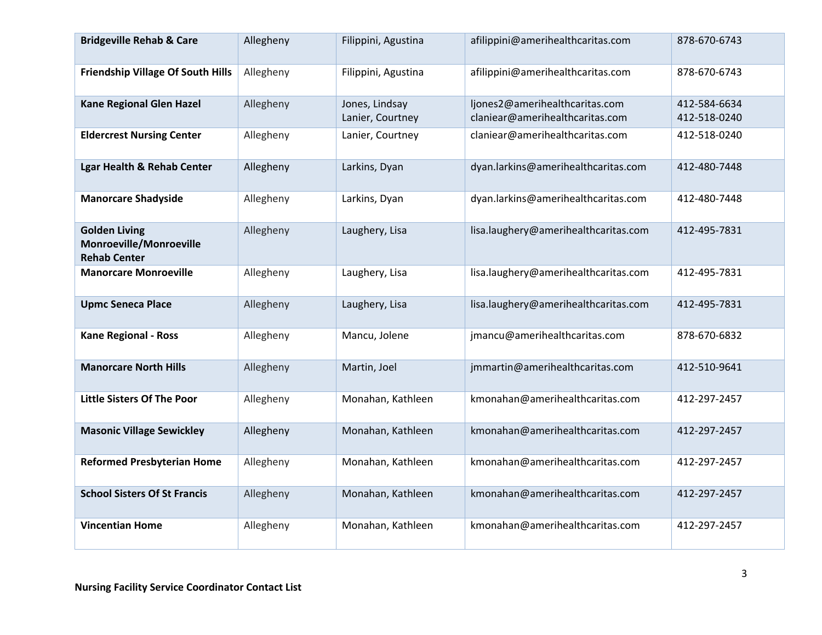| <b>Bridgeville Rehab &amp; Care</b>                                           | Allegheny | Filippini, Agustina                | afilippini@amerihealthcaritas.com                                 | 878-670-6743                 |
|-------------------------------------------------------------------------------|-----------|------------------------------------|-------------------------------------------------------------------|------------------------------|
| <b>Friendship Village Of South Hills</b>                                      | Allegheny | Filippini, Agustina                | afilippini@amerihealthcaritas.com                                 | 878-670-6743                 |
| <b>Kane Regional Glen Hazel</b>                                               | Allegheny | Jones, Lindsay<br>Lanier, Courtney | ljones2@amerihealthcaritas.com<br>claniear@amerihealthcaritas.com | 412-584-6634<br>412-518-0240 |
| <b>Eldercrest Nursing Center</b>                                              | Allegheny | Lanier, Courtney                   | claniear@amerihealthcaritas.com                                   | 412-518-0240                 |
| <b>Lgar Health &amp; Rehab Center</b>                                         | Allegheny | Larkins, Dyan                      | dyan.larkins@amerihealthcaritas.com                               | 412-480-7448                 |
| <b>Manorcare Shadyside</b>                                                    | Allegheny | Larkins, Dyan                      | dyan.larkins@amerihealthcaritas.com                               | 412-480-7448                 |
| <b>Golden Living</b><br><b>Monroeville/Monroeville</b><br><b>Rehab Center</b> | Allegheny | Laughery, Lisa                     | lisa.laughery@amerihealthcaritas.com                              | 412-495-7831                 |
| <b>Manorcare Monroeville</b>                                                  | Allegheny | Laughery, Lisa                     | lisa.laughery@amerihealthcaritas.com                              | 412-495-7831                 |
| <b>Upmc Seneca Place</b>                                                      | Allegheny | Laughery, Lisa                     | lisa.laughery@amerihealthcaritas.com                              | 412-495-7831                 |
| <b>Kane Regional - Ross</b>                                                   | Allegheny | Mancu, Jolene                      | jmancu@amerihealthcaritas.com                                     | 878-670-6832                 |
| <b>Manorcare North Hills</b>                                                  | Allegheny | Martin, Joel                       | jmmartin@amerihealthcaritas.com                                   | 412-510-9641                 |
| <b>Little Sisters Of The Poor</b>                                             | Allegheny | Monahan, Kathleen                  | kmonahan@amerihealthcaritas.com                                   | 412-297-2457                 |
| <b>Masonic Village Sewickley</b>                                              | Allegheny | Monahan, Kathleen                  | kmonahan@amerihealthcaritas.com                                   | 412-297-2457                 |
| <b>Reformed Presbyterian Home</b>                                             | Allegheny | Monahan, Kathleen                  | kmonahan@amerihealthcaritas.com                                   | 412-297-2457                 |
| <b>School Sisters Of St Francis</b>                                           | Allegheny | Monahan, Kathleen                  | kmonahan@amerihealthcaritas.com                                   | 412-297-2457                 |
| <b>Vincentian Home</b>                                                        | Allegheny | Monahan, Kathleen                  | kmonahan@amerihealthcaritas.com                                   | 412-297-2457                 |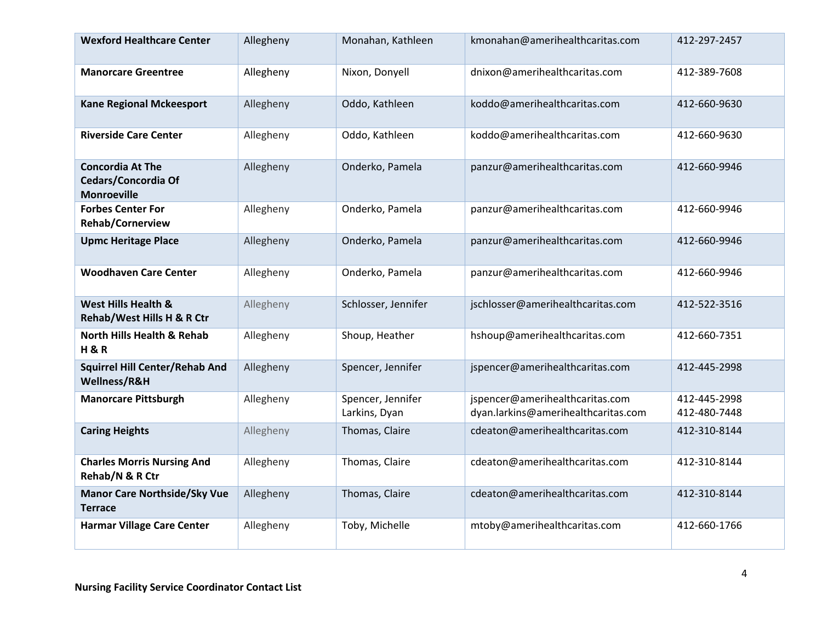| <b>Wexford Healthcare Center</b>                                     | Allegheny | Monahan, Kathleen                  | kmonahan@amerihealthcaritas.com                                        | 412-297-2457                 |
|----------------------------------------------------------------------|-----------|------------------------------------|------------------------------------------------------------------------|------------------------------|
| <b>Manorcare Greentree</b>                                           | Allegheny | Nixon, Donyell                     | dnixon@amerihealthcaritas.com                                          | 412-389-7608                 |
| <b>Kane Regional Mckeesport</b>                                      | Allegheny | Oddo, Kathleen                     | koddo@amerihealthcaritas.com                                           | 412-660-9630                 |
| <b>Riverside Care Center</b>                                         | Allegheny | Oddo, Kathleen                     | koddo@amerihealthcaritas.com                                           | 412-660-9630                 |
| <b>Concordia At The</b><br>Cedars/Concordia Of<br><b>Monroeville</b> | Allegheny | Onderko, Pamela                    | panzur@amerihealthcaritas.com                                          | 412-660-9946                 |
| <b>Forbes Center For</b><br><b>Rehab/Cornerview</b>                  | Allegheny | Onderko, Pamela                    | panzur@amerihealthcaritas.com                                          | 412-660-9946                 |
| <b>Upmc Heritage Place</b>                                           | Allegheny | Onderko, Pamela                    | panzur@amerihealthcaritas.com                                          | 412-660-9946                 |
| <b>Woodhaven Care Center</b>                                         | Allegheny | Onderko, Pamela                    | panzur@amerihealthcaritas.com                                          | 412-660-9946                 |
| West Hills Health &<br>Rehab/West Hills H & R Ctr                    | Allegheny | Schlosser, Jennifer                | jschlosser@amerihealthcaritas.com                                      | 412-522-3516                 |
| <b>North Hills Health &amp; Rehab</b><br><b>H&amp;R</b>              | Allegheny | Shoup, Heather                     | hshoup@amerihealthcaritas.com                                          | 412-660-7351                 |
| <b>Squirrel Hill Center/Rehab And</b><br>Wellness/R&H                | Allegheny | Spencer, Jennifer                  | jspencer@amerihealthcaritas.com                                        | 412-445-2998                 |
| <b>Manorcare Pittsburgh</b>                                          | Allegheny | Spencer, Jennifer<br>Larkins, Dyan | jspencer@amerihealthcaritas.com<br>dyan.larkins@amerihealthcaritas.com | 412-445-2998<br>412-480-7448 |
| <b>Caring Heights</b>                                                | Allegheny | Thomas, Claire                     | cdeaton@amerihealthcaritas.com                                         | 412-310-8144                 |
| <b>Charles Morris Nursing And</b><br>Rehab/N & R Ctr                 | Allegheny | Thomas, Claire                     | cdeaton@amerihealthcaritas.com                                         | 412-310-8144                 |
| <b>Manor Care Northside/Sky Vue</b><br><b>Terrace</b>                | Allegheny | Thomas, Claire                     | cdeaton@amerihealthcaritas.com                                         | 412-310-8144                 |
| <b>Harmar Village Care Center</b>                                    | Allegheny | Toby, Michelle                     | mtoby@amerihealthcaritas.com                                           | 412-660-1766                 |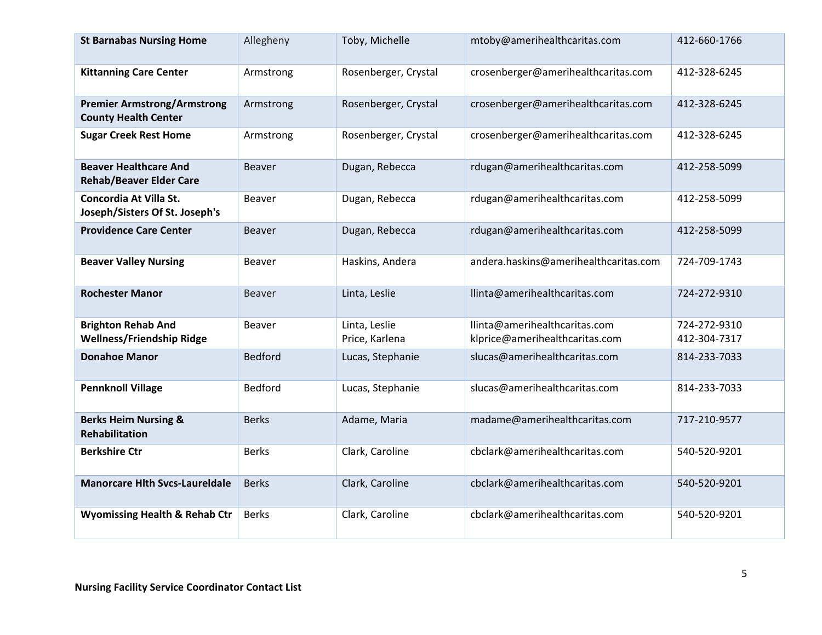| <b>St Barnabas Nursing Home</b>                                   | Allegheny      | Toby, Michelle                  | mtoby@amerihealthcaritas.com                                    | 412-660-1766                 |
|-------------------------------------------------------------------|----------------|---------------------------------|-----------------------------------------------------------------|------------------------------|
| <b>Kittanning Care Center</b>                                     | Armstrong      | Rosenberger, Crystal            | crosenberger@amerihealthcaritas.com                             | 412-328-6245                 |
| <b>Premier Armstrong/Armstrong</b><br><b>County Health Center</b> | Armstrong      | Rosenberger, Crystal            | crosenberger@amerihealthcaritas.com                             | 412-328-6245                 |
| <b>Sugar Creek Rest Home</b>                                      | Armstrong      | Rosenberger, Crystal            | crosenberger@amerihealthcaritas.com                             | 412-328-6245                 |
| <b>Beaver Healthcare And</b><br><b>Rehab/Beaver Elder Care</b>    | <b>Beaver</b>  | Dugan, Rebecca                  | rdugan@amerihealthcaritas.com                                   | 412-258-5099                 |
| Concordia At Villa St.<br>Joseph/Sisters Of St. Joseph's          | <b>Beaver</b>  | Dugan, Rebecca                  | rdugan@amerihealthcaritas.com                                   | 412-258-5099                 |
| <b>Providence Care Center</b>                                     | <b>Beaver</b>  | Dugan, Rebecca                  | rdugan@amerihealthcaritas.com                                   | 412-258-5099                 |
| <b>Beaver Valley Nursing</b>                                      | <b>Beaver</b>  | Haskins, Andera                 | andera.haskins@amerihealthcaritas.com                           | 724-709-1743                 |
| <b>Rochester Manor</b>                                            | <b>Beaver</b>  | Linta, Leslie                   | llinta@amerihealthcaritas.com                                   | 724-272-9310                 |
| <b>Brighton Rehab And</b><br><b>Wellness/Friendship Ridge</b>     | <b>Beaver</b>  | Linta, Leslie<br>Price, Karlena | llinta@amerihealthcaritas.com<br>klprice@amerihealthcaritas.com | 724-272-9310<br>412-304-7317 |
| <b>Donahoe Manor</b>                                              | <b>Bedford</b> | Lucas, Stephanie                | slucas@amerihealthcaritas.com                                   | 814-233-7033                 |
| <b>Pennknoll Village</b>                                          | Bedford        | Lucas, Stephanie                | slucas@amerihealthcaritas.com                                   | 814-233-7033                 |
| <b>Berks Heim Nursing &amp;</b><br><b>Rehabilitation</b>          | <b>Berks</b>   | Adame, Maria                    | madame@amerihealthcaritas.com                                   | 717-210-9577                 |
| <b>Berkshire Ctr</b>                                              | <b>Berks</b>   | Clark, Caroline                 | cbclark@amerihealthcaritas.com                                  | 540-520-9201                 |
| <b>Manorcare Hith Svcs-Laureldale</b>                             | <b>Berks</b>   | Clark, Caroline                 | cbclark@amerihealthcaritas.com                                  | 540-520-9201                 |
| <b>Wyomissing Health &amp; Rehab Ctr</b>                          | <b>Berks</b>   | Clark, Caroline                 | cbclark@amerihealthcaritas.com                                  | 540-520-9201                 |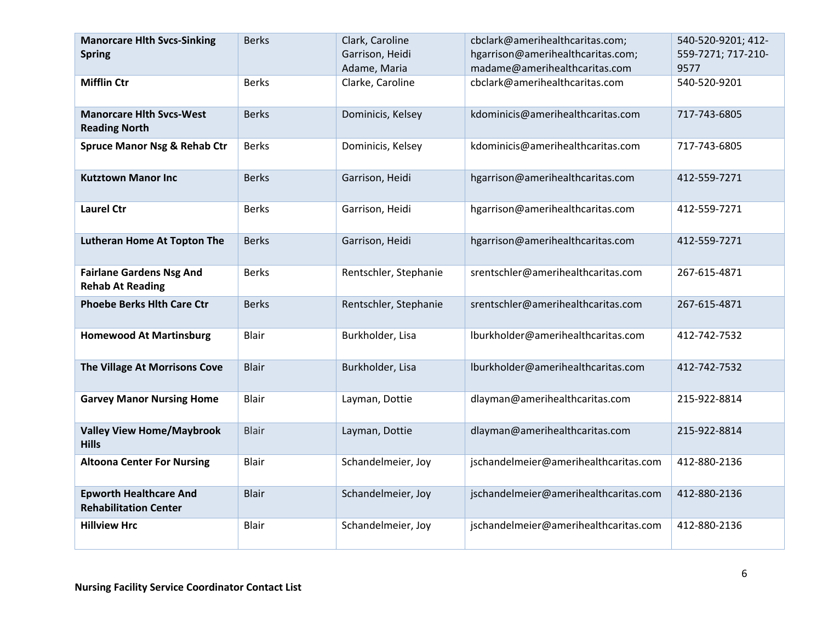| <b>Manorcare Hith Svcs-Sinking</b><br><b>Spring</b>           | <b>Berks</b> | Clark, Caroline<br>Garrison, Heidi<br>Adame, Maria | cbclark@amerihealthcaritas.com;<br>hgarrison@amerihealthcaritas.com;<br>madame@amerihealthcaritas.com | 540-520-9201; 412-<br>559-7271; 717-210-<br>9577 |
|---------------------------------------------------------------|--------------|----------------------------------------------------|-------------------------------------------------------------------------------------------------------|--------------------------------------------------|
| <b>Mifflin Ctr</b>                                            | <b>Berks</b> | Clarke, Caroline                                   | cbclark@amerihealthcaritas.com                                                                        | 540-520-9201                                     |
| <b>Manorcare Hith Sycs-West</b><br><b>Reading North</b>       | <b>Berks</b> | Dominicis, Kelsey                                  | kdominicis@amerihealthcaritas.com                                                                     | 717-743-6805                                     |
| <b>Spruce Manor Nsg &amp; Rehab Ctr</b>                       | <b>Berks</b> | Dominicis, Kelsey                                  | kdominicis@amerihealthcaritas.com                                                                     | 717-743-6805                                     |
| <b>Kutztown Manor Inc</b>                                     | <b>Berks</b> | Garrison, Heidi                                    | hgarrison@amerihealthcaritas.com                                                                      | 412-559-7271                                     |
| <b>Laurel Ctr</b>                                             | <b>Berks</b> | Garrison, Heidi                                    | hgarrison@amerihealthcaritas.com                                                                      | 412-559-7271                                     |
| <b>Lutheran Home At Topton The</b>                            | <b>Berks</b> | Garrison, Heidi                                    | hgarrison@amerihealthcaritas.com                                                                      | 412-559-7271                                     |
| <b>Fairlane Gardens Nsg And</b><br><b>Rehab At Reading</b>    | <b>Berks</b> | Rentschler, Stephanie                              | srentschler@amerihealthcaritas.com                                                                    | 267-615-4871                                     |
| <b>Phoebe Berks Hith Care Ctr</b>                             | <b>Berks</b> | Rentschler, Stephanie                              | srentschler@amerihealthcaritas.com                                                                    | 267-615-4871                                     |
| <b>Homewood At Martinsburg</b>                                | Blair        | Burkholder, Lisa                                   | lburkholder@amerihealthcaritas.com                                                                    | 412-742-7532                                     |
| The Village At Morrisons Cove                                 | <b>Blair</b> | Burkholder, Lisa                                   | lburkholder@amerihealthcaritas.com                                                                    | 412-742-7532                                     |
| <b>Garvey Manor Nursing Home</b>                              | Blair        | Layman, Dottie                                     | dlayman@amerihealthcaritas.com                                                                        | 215-922-8814                                     |
| <b>Valley View Home/Maybrook</b><br><b>Hills</b>              | <b>Blair</b> | Layman, Dottie                                     | dlayman@amerihealthcaritas.com                                                                        | 215-922-8814                                     |
| <b>Altoona Center For Nursing</b>                             | <b>Blair</b> | Schandelmeier, Joy                                 | jschandelmeier@amerihealthcaritas.com                                                                 | 412-880-2136                                     |
| <b>Epworth Healthcare And</b><br><b>Rehabilitation Center</b> | <b>Blair</b> | Schandelmeier, Joy                                 | jschandelmeier@amerihealthcaritas.com                                                                 | 412-880-2136                                     |
| <b>Hillview Hrc</b>                                           | <b>Blair</b> | Schandelmeier, Joy                                 | jschandelmeier@amerihealthcaritas.com                                                                 | 412-880-2136                                     |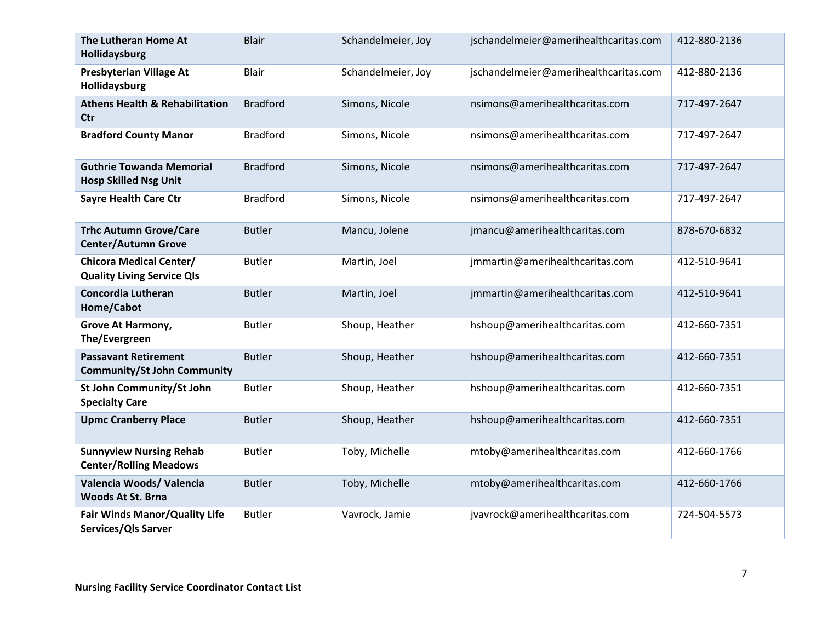| The Lutheran Home At<br>Hollidaysburg                               | <b>Blair</b>    | Schandelmeier, Joy | jschandelmeier@amerihealthcaritas.com | 412-880-2136 |
|---------------------------------------------------------------------|-----------------|--------------------|---------------------------------------|--------------|
| <b>Presbyterian Village At</b><br>Hollidaysburg                     | <b>Blair</b>    | Schandelmeier, Joy | jschandelmeier@amerihealthcaritas.com | 412-880-2136 |
| <b>Athens Health &amp; Rehabilitation</b><br><b>Ctr</b>             | <b>Bradford</b> | Simons, Nicole     | nsimons@amerihealthcaritas.com        | 717-497-2647 |
| <b>Bradford County Manor</b>                                        | <b>Bradford</b> | Simons, Nicole     | nsimons@amerihealthcaritas.com        | 717-497-2647 |
| <b>Guthrie Towanda Memorial</b><br><b>Hosp Skilled Nsg Unit</b>     | <b>Bradford</b> | Simons, Nicole     | nsimons@amerihealthcaritas.com        | 717-497-2647 |
| <b>Sayre Health Care Ctr</b>                                        | <b>Bradford</b> | Simons, Nicole     | nsimons@amerihealthcaritas.com        | 717-497-2647 |
| <b>Trhc Autumn Grove/Care</b><br><b>Center/Autumn Grove</b>         | <b>Butler</b>   | Mancu, Jolene      | jmancu@amerihealthcaritas.com         | 878-670-6832 |
| <b>Chicora Medical Center/</b><br><b>Quality Living Service Qls</b> | <b>Butler</b>   | Martin, Joel       | jmmartin@amerihealthcaritas.com       | 412-510-9641 |
| <b>Concordia Lutheran</b><br>Home/Cabot                             | <b>Butler</b>   | Martin, Joel       | jmmartin@amerihealthcaritas.com       | 412-510-9641 |
| Grove At Harmony,<br>The/Evergreen                                  | <b>Butler</b>   | Shoup, Heather     | hshoup@amerihealthcaritas.com         | 412-660-7351 |
| <b>Passavant Retirement</b><br><b>Community/St John Community</b>   | <b>Butler</b>   | Shoup, Heather     | hshoup@amerihealthcaritas.com         | 412-660-7351 |
| St John Community/St John<br><b>Specialty Care</b>                  | <b>Butler</b>   | Shoup, Heather     | hshoup@amerihealthcaritas.com         | 412-660-7351 |
| <b>Upmc Cranberry Place</b>                                         | <b>Butler</b>   | Shoup, Heather     | hshoup@amerihealthcaritas.com         | 412-660-7351 |
| <b>Sunnyview Nursing Rehab</b><br><b>Center/Rolling Meadows</b>     | <b>Butler</b>   | Toby, Michelle     | mtoby@amerihealthcaritas.com          | 412-660-1766 |
| Valencia Woods/ Valencia<br><b>Woods At St. Brna</b>                | <b>Butler</b>   | Toby, Michelle     | mtoby@amerihealthcaritas.com          | 412-660-1766 |
| Fair Winds Manor/Quality Life<br>Services/Qls Sarver                | <b>Butler</b>   | Vavrock, Jamie     | jvavrock@amerihealthcaritas.com       | 724-504-5573 |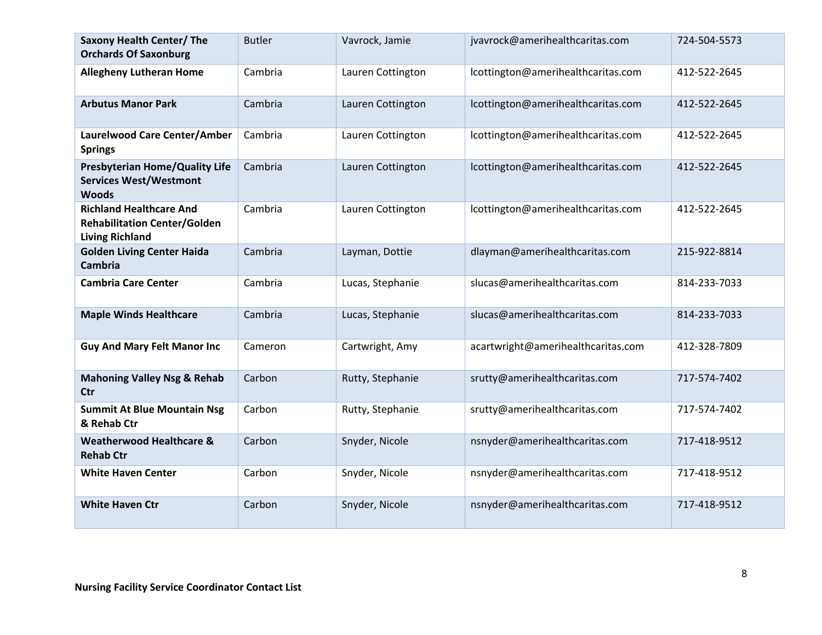| <b>Saxony Health Center/ The</b><br><b>Orchards Of Saxonburg</b>                                | <b>Butler</b> | Vavrock, Jamie    | jvavrock@amerihealthcaritas.com    | 724-504-5573 |
|-------------------------------------------------------------------------------------------------|---------------|-------------------|------------------------------------|--------------|
| <b>Allegheny Lutheran Home</b>                                                                  | Cambria       | Lauren Cottington | lcottington@amerihealthcaritas.com | 412-522-2645 |
| <b>Arbutus Manor Park</b>                                                                       | Cambria       | Lauren Cottington | lcottington@amerihealthcaritas.com | 412-522-2645 |
| Laurelwood Care Center/Amber<br><b>Springs</b>                                                  | Cambria       | Lauren Cottington | lcottington@amerihealthcaritas.com | 412-522-2645 |
| <b>Presbyterian Home/Quality Life</b><br><b>Services West/Westmont</b><br><b>Woods</b>          | Cambria       | Lauren Cottington | lcottington@amerihealthcaritas.com | 412-522-2645 |
| <b>Richland Healthcare And</b><br><b>Rehabilitation Center/Golden</b><br><b>Living Richland</b> | Cambria       | Lauren Cottington | lcottington@amerihealthcaritas.com | 412-522-2645 |
| <b>Golden Living Center Haida</b><br><b>Cambria</b>                                             | Cambria       | Layman, Dottie    | dlayman@amerihealthcaritas.com     | 215-922-8814 |
| <b>Cambria Care Center</b>                                                                      | Cambria       | Lucas, Stephanie  | slucas@amerihealthcaritas.com      | 814-233-7033 |
| <b>Maple Winds Healthcare</b>                                                                   | Cambria       | Lucas, Stephanie  | slucas@amerihealthcaritas.com      | 814-233-7033 |
| <b>Guy And Mary Felt Manor Inc</b>                                                              | Cameron       | Cartwright, Amy   | acartwright@amerihealthcaritas.com | 412-328-7809 |
| <b>Mahoning Valley Nsg &amp; Rehab</b><br><b>Ctr</b>                                            | Carbon        | Rutty, Stephanie  | srutty@amerihealthcaritas.com      | 717-574-7402 |
| <b>Summit At Blue Mountain Nsg</b><br>& Rehab Ctr                                               | Carbon        | Rutty, Stephanie  | srutty@amerihealthcaritas.com      | 717-574-7402 |
| <b>Weatherwood Healthcare &amp;</b><br><b>Rehab Ctr</b>                                         | Carbon        | Snyder, Nicole    | nsnyder@amerihealthcaritas.com     | 717-418-9512 |
| <b>White Haven Center</b>                                                                       | Carbon        | Snyder, Nicole    | nsnyder@amerihealthcaritas.com     | 717-418-9512 |
| <b>White Haven Ctr</b>                                                                          | Carbon        | Snyder, Nicole    | nsnyder@amerihealthcaritas.com     | 717-418-9512 |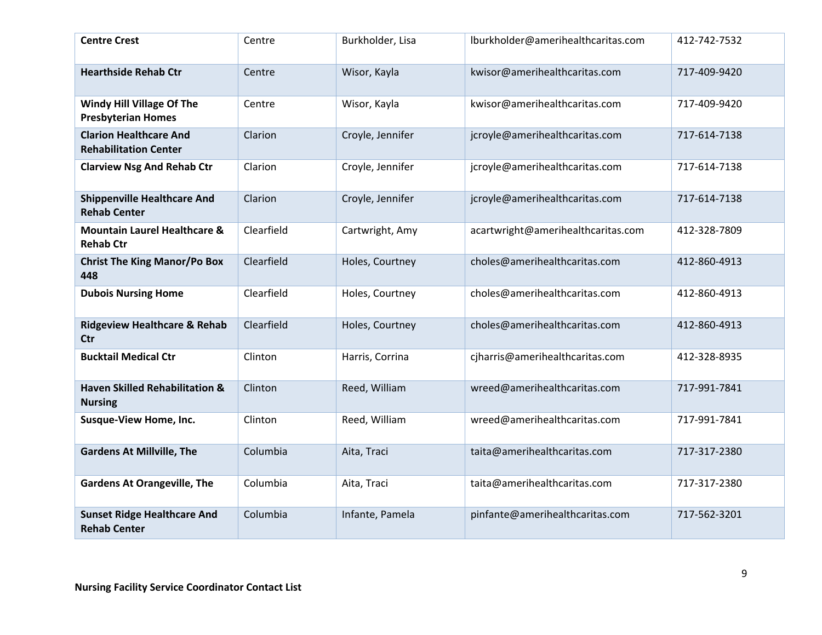| <b>Centre Crest</b>                                           | Centre     | Burkholder, Lisa | lburkholder@amerihealthcaritas.com | 412-742-7532 |
|---------------------------------------------------------------|------------|------------------|------------------------------------|--------------|
| <b>Hearthside Rehab Ctr</b>                                   | Centre     | Wisor, Kayla     | kwisor@amerihealthcaritas.com      | 717-409-9420 |
| Windy Hill Village Of The<br><b>Presbyterian Homes</b>        | Centre     | Wisor, Kayla     | kwisor@amerihealthcaritas.com      | 717-409-9420 |
| <b>Clarion Healthcare And</b><br><b>Rehabilitation Center</b> | Clarion    | Croyle, Jennifer | jcroyle@amerihealthcaritas.com     | 717-614-7138 |
| <b>Clarview Nsg And Rehab Ctr</b>                             | Clarion    | Croyle, Jennifer | jcroyle@amerihealthcaritas.com     | 717-614-7138 |
| <b>Shippenville Healthcare And</b><br><b>Rehab Center</b>     | Clarion    | Croyle, Jennifer | jcroyle@amerihealthcaritas.com     | 717-614-7138 |
| <b>Mountain Laurel Healthcare &amp;</b><br><b>Rehab Ctr</b>   | Clearfield | Cartwright, Amy  | acartwright@amerihealthcaritas.com | 412-328-7809 |
| <b>Christ The King Manor/Po Box</b><br>448                    | Clearfield | Holes, Courtney  | choles@amerihealthcaritas.com      | 412-860-4913 |
| <b>Dubois Nursing Home</b>                                    | Clearfield | Holes, Courtney  | choles@amerihealthcaritas.com      | 412-860-4913 |
| <b>Ridgeview Healthcare &amp; Rehab</b><br><b>Ctr</b>         | Clearfield | Holes, Courtney  | choles@amerihealthcaritas.com      | 412-860-4913 |
| <b>Bucktail Medical Ctr</b>                                   | Clinton    | Harris, Corrina  | cjharris@amerihealthcaritas.com    | 412-328-8935 |
| <b>Haven Skilled Rehabilitation &amp;</b><br><b>Nursing</b>   | Clinton    | Reed, William    | wreed@amerihealthcaritas.com       | 717-991-7841 |
| <b>Susque-View Home, Inc.</b>                                 | Clinton    | Reed, William    | wreed@amerihealthcaritas.com       | 717-991-7841 |
| <b>Gardens At Millville, The</b>                              | Columbia   | Aita, Traci      | taita@amerihealthcaritas.com       | 717-317-2380 |
| <b>Gardens At Orangeville, The</b>                            | Columbia   | Aita, Traci      | taita@amerihealthcaritas.com       | 717-317-2380 |
| <b>Sunset Ridge Healthcare And</b><br><b>Rehab Center</b>     | Columbia   | Infante, Pamela  | pinfante@amerihealthcaritas.com    | 717-562-3201 |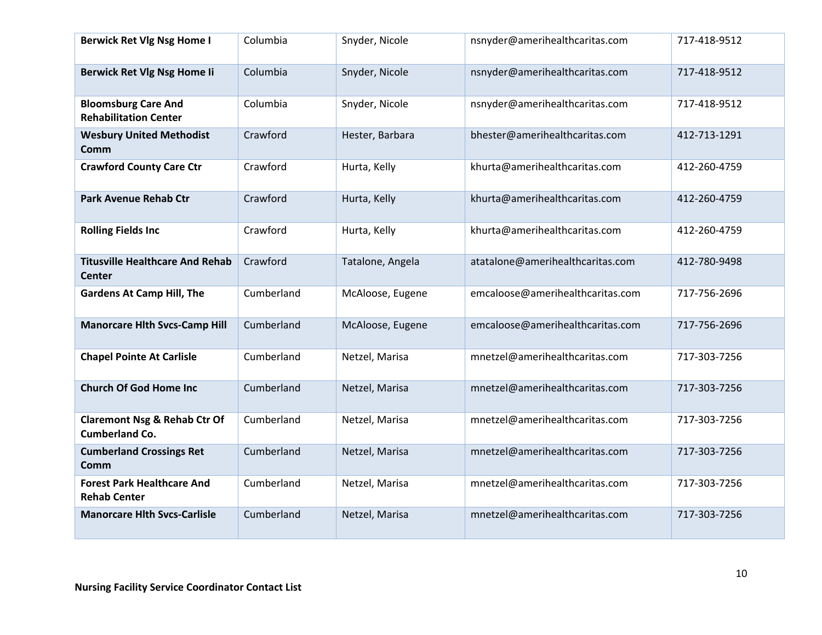| <b>Berwick Ret Vlg Nsg Home I</b>                                | Columbia   | Snyder, Nicole   | nsnyder@amerihealthcaritas.com   | 717-418-9512 |
|------------------------------------------------------------------|------------|------------------|----------------------------------|--------------|
| Berwick Ret Vlg Nsg Home Ii                                      | Columbia   | Snyder, Nicole   | nsnyder@amerihealthcaritas.com   | 717-418-9512 |
| <b>Bloomsburg Care And</b><br><b>Rehabilitation Center</b>       | Columbia   | Snyder, Nicole   | nsnyder@amerihealthcaritas.com   | 717-418-9512 |
| <b>Wesbury United Methodist</b><br>Comm                          | Crawford   | Hester, Barbara  | bhester@amerihealthcaritas.com   | 412-713-1291 |
| <b>Crawford County Care Ctr</b>                                  | Crawford   | Hurta, Kelly     | khurta@amerihealthcaritas.com    | 412-260-4759 |
| <b>Park Avenue Rehab Ctr</b>                                     | Crawford   | Hurta, Kelly     | khurta@amerihealthcaritas.com    | 412-260-4759 |
| <b>Rolling Fields Inc</b>                                        | Crawford   | Hurta, Kelly     | khurta@amerihealthcaritas.com    | 412-260-4759 |
| <b>Titusville Healthcare And Rehab</b><br><b>Center</b>          | Crawford   | Tatalone, Angela | atatalone@amerihealthcaritas.com | 412-780-9498 |
| <b>Gardens At Camp Hill, The</b>                                 | Cumberland | McAloose, Eugene | emcaloose@amerihealthcaritas.com | 717-756-2696 |
| <b>Manorcare Hlth Svcs-Camp Hill</b>                             | Cumberland | McAloose, Eugene | emcaloose@amerihealthcaritas.com | 717-756-2696 |
| <b>Chapel Pointe At Carlisle</b>                                 | Cumberland | Netzel, Marisa   | mnetzel@amerihealthcaritas.com   | 717-303-7256 |
| <b>Church Of God Home Inc</b>                                    | Cumberland | Netzel, Marisa   | mnetzel@amerihealthcaritas.com   | 717-303-7256 |
| <b>Claremont Nsg &amp; Rehab Ctr Of</b><br><b>Cumberland Co.</b> | Cumberland | Netzel, Marisa   | mnetzel@amerihealthcaritas.com   | 717-303-7256 |
| <b>Cumberland Crossings Ret</b><br>Comm                          | Cumberland | Netzel, Marisa   | mnetzel@amerihealthcaritas.com   | 717-303-7256 |
| <b>Forest Park Healthcare And</b><br><b>Rehab Center</b>         | Cumberland | Netzel, Marisa   | mnetzel@amerihealthcaritas.com   | 717-303-7256 |
| <b>Manorcare Hith Svcs-Carlisle</b>                              | Cumberland | Netzel, Marisa   | mnetzel@amerihealthcaritas.com   | 717-303-7256 |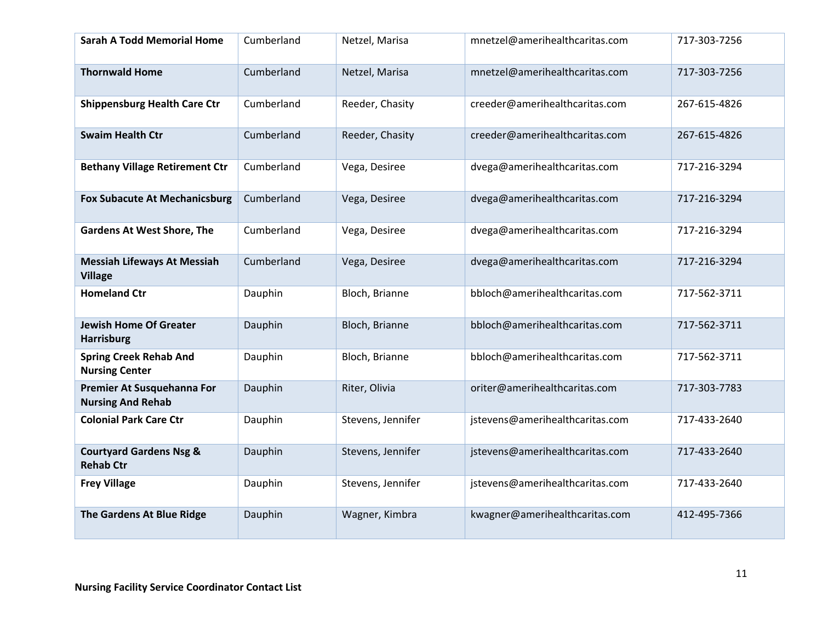| <b>Sarah A Todd Memorial Home</b>                      | Cumberland | Netzel, Marisa    | mnetzel@amerihealthcaritas.com  | 717-303-7256 |
|--------------------------------------------------------|------------|-------------------|---------------------------------|--------------|
| <b>Thornwald Home</b>                                  | Cumberland | Netzel, Marisa    | mnetzel@amerihealthcaritas.com  | 717-303-7256 |
| <b>Shippensburg Health Care Ctr</b>                    | Cumberland | Reeder, Chasity   | creeder@amerihealthcaritas.com  | 267-615-4826 |
| <b>Swaim Health Ctr</b>                                | Cumberland | Reeder, Chasity   | creeder@amerihealthcaritas.com  | 267-615-4826 |
| <b>Bethany Village Retirement Ctr</b>                  | Cumberland | Vega, Desiree     | dvega@amerihealthcaritas.com    | 717-216-3294 |
| <b>Fox Subacute At Mechanicsburg</b>                   | Cumberland | Vega, Desiree     | dvega@amerihealthcaritas.com    | 717-216-3294 |
| <b>Gardens At West Shore, The</b>                      | Cumberland | Vega, Desiree     | dvega@amerihealthcaritas.com    | 717-216-3294 |
| <b>Messiah Lifeways At Messiah</b><br><b>Village</b>   | Cumberland | Vega, Desiree     | dvega@amerihealthcaritas.com    | 717-216-3294 |
| <b>Homeland Ctr</b>                                    | Dauphin    | Bloch, Brianne    | bbloch@amerihealthcaritas.com   | 717-562-3711 |
| <b>Jewish Home Of Greater</b><br><b>Harrisburg</b>     | Dauphin    | Bloch, Brianne    | bbloch@amerihealthcaritas.com   | 717-562-3711 |
| <b>Spring Creek Rehab And</b><br><b>Nursing Center</b> | Dauphin    | Bloch, Brianne    | bbloch@amerihealthcaritas.com   | 717-562-3711 |
| Premier At Susquehanna For<br><b>Nursing And Rehab</b> | Dauphin    | Riter, Olivia     | oriter@amerihealthcaritas.com   | 717-303-7783 |
| <b>Colonial Park Care Ctr</b>                          | Dauphin    | Stevens, Jennifer | jstevens@amerihealthcaritas.com | 717-433-2640 |
| <b>Courtyard Gardens Nsg &amp;</b><br><b>Rehab Ctr</b> | Dauphin    | Stevens, Jennifer | jstevens@amerihealthcaritas.com | 717-433-2640 |
| <b>Frey Village</b>                                    | Dauphin    | Stevens, Jennifer | jstevens@amerihealthcaritas.com | 717-433-2640 |
| The Gardens At Blue Ridge                              | Dauphin    | Wagner, Kimbra    | kwagner@amerihealthcaritas.com  | 412-495-7366 |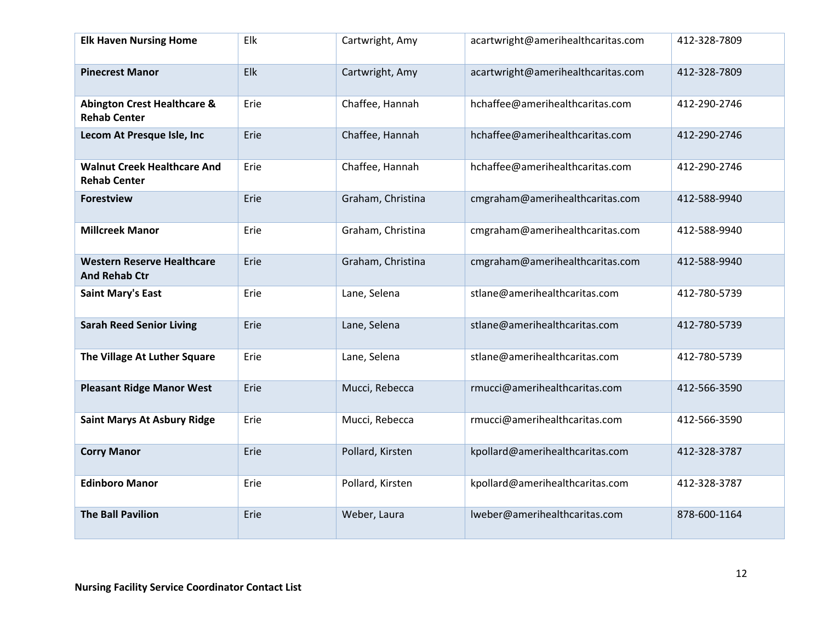| <b>Elk Haven Nursing Home</b>                                 | Elk  | Cartwright, Amy   | acartwright@amerihealthcaritas.com | 412-328-7809 |
|---------------------------------------------------------------|------|-------------------|------------------------------------|--------------|
| <b>Pinecrest Manor</b>                                        | Elk  | Cartwright, Amy   | acartwright@amerihealthcaritas.com | 412-328-7809 |
| <b>Abington Crest Healthcare &amp;</b><br><b>Rehab Center</b> | Erie | Chaffee, Hannah   | hchaffee@amerihealthcaritas.com    | 412-290-2746 |
| Lecom At Presque Isle, Inc                                    | Erie | Chaffee, Hannah   | hchaffee@amerihealthcaritas.com    | 412-290-2746 |
| <b>Walnut Creek Healthcare And</b><br><b>Rehab Center</b>     | Erie | Chaffee, Hannah   | hchaffee@amerihealthcaritas.com    | 412-290-2746 |
| <b>Forestview</b>                                             | Erie | Graham, Christina | cmgraham@amerihealthcaritas.com    | 412-588-9940 |
| <b>Millcreek Manor</b>                                        | Erie | Graham, Christina | cmgraham@amerihealthcaritas.com    | 412-588-9940 |
| <b>Western Reserve Healthcare</b><br><b>And Rehab Ctr</b>     | Erie | Graham, Christina | cmgraham@amerihealthcaritas.com    | 412-588-9940 |
| <b>Saint Mary's East</b>                                      | Erie | Lane, Selena      | stlane@amerihealthcaritas.com      | 412-780-5739 |
| <b>Sarah Reed Senior Living</b>                               | Erie | Lane, Selena      | stlane@amerihealthcaritas.com      | 412-780-5739 |
| The Village At Luther Square                                  | Erie | Lane, Selena      | stlane@amerihealthcaritas.com      | 412-780-5739 |
| <b>Pleasant Ridge Manor West</b>                              | Erie | Mucci, Rebecca    | rmucci@amerihealthcaritas.com      | 412-566-3590 |
| <b>Saint Marys At Asbury Ridge</b>                            | Erie | Mucci, Rebecca    | rmucci@amerihealthcaritas.com      | 412-566-3590 |
| <b>Corry Manor</b>                                            | Erie | Pollard, Kirsten  | kpollard@amerihealthcaritas.com    | 412-328-3787 |
| <b>Edinboro Manor</b>                                         | Erie | Pollard, Kirsten  | kpollard@amerihealthcaritas.com    | 412-328-3787 |
| <b>The Ball Pavilion</b>                                      | Erie | Weber, Laura      | lweber@amerihealthcaritas.com      | 878-600-1164 |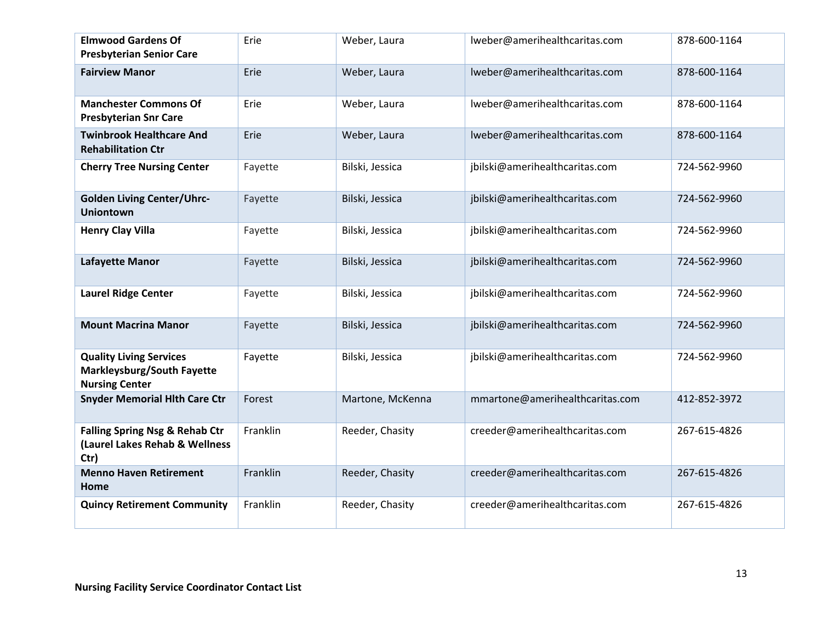| <b>Elmwood Gardens Of</b><br><b>Presbyterian Senior Care</b>                                 | Erie     | Weber, Laura     | lweber@amerihealthcaritas.com   | 878-600-1164 |
|----------------------------------------------------------------------------------------------|----------|------------------|---------------------------------|--------------|
| <b>Fairview Manor</b>                                                                        | Erie     | Weber, Laura     | lweber@amerihealthcaritas.com   | 878-600-1164 |
| <b>Manchester Commons Of</b><br><b>Presbyterian Snr Care</b>                                 | Erie     | Weber, Laura     | lweber@amerihealthcaritas.com   | 878-600-1164 |
| <b>Twinbrook Healthcare And</b><br><b>Rehabilitation Ctr</b>                                 | Erie     | Weber, Laura     | lweber@amerihealthcaritas.com   | 878-600-1164 |
| <b>Cherry Tree Nursing Center</b>                                                            | Fayette  | Bilski, Jessica  | jbilski@amerihealthcaritas.com  | 724-562-9960 |
| <b>Golden Living Center/Uhrc-</b><br><b>Uniontown</b>                                        | Fayette  | Bilski, Jessica  | jbilski@amerihealthcaritas.com  | 724-562-9960 |
| <b>Henry Clay Villa</b>                                                                      | Fayette  | Bilski, Jessica  | jbilski@amerihealthcaritas.com  | 724-562-9960 |
| Lafayette Manor                                                                              | Fayette  | Bilski, Jessica  | jbilski@amerihealthcaritas.com  | 724-562-9960 |
| <b>Laurel Ridge Center</b>                                                                   | Fayette  | Bilski, Jessica  | jbilski@amerihealthcaritas.com  | 724-562-9960 |
| <b>Mount Macrina Manor</b>                                                                   | Fayette  | Bilski, Jessica  | jbilski@amerihealthcaritas.com  | 724-562-9960 |
| <b>Quality Living Services</b><br><b>Markleysburg/South Fayette</b><br><b>Nursing Center</b> | Fayette  | Bilski, Jessica  | jbilski@amerihealthcaritas.com  | 724-562-9960 |
| <b>Snyder Memorial Hith Care Ctr</b>                                                         | Forest   | Martone, McKenna | mmartone@amerihealthcaritas.com | 412-852-3972 |
| <b>Falling Spring Nsg &amp; Rehab Ctr</b><br>(Laurel Lakes Rehab & Wellness<br>Ctr)          | Franklin | Reeder, Chasity  | creeder@amerihealthcaritas.com  | 267-615-4826 |
| <b>Menno Haven Retirement</b><br>Home                                                        | Franklin | Reeder, Chasity  | creeder@amerihealthcaritas.com  | 267-615-4826 |
| <b>Quincy Retirement Community</b>                                                           | Franklin | Reeder, Chasity  | creeder@amerihealthcaritas.com  | 267-615-4826 |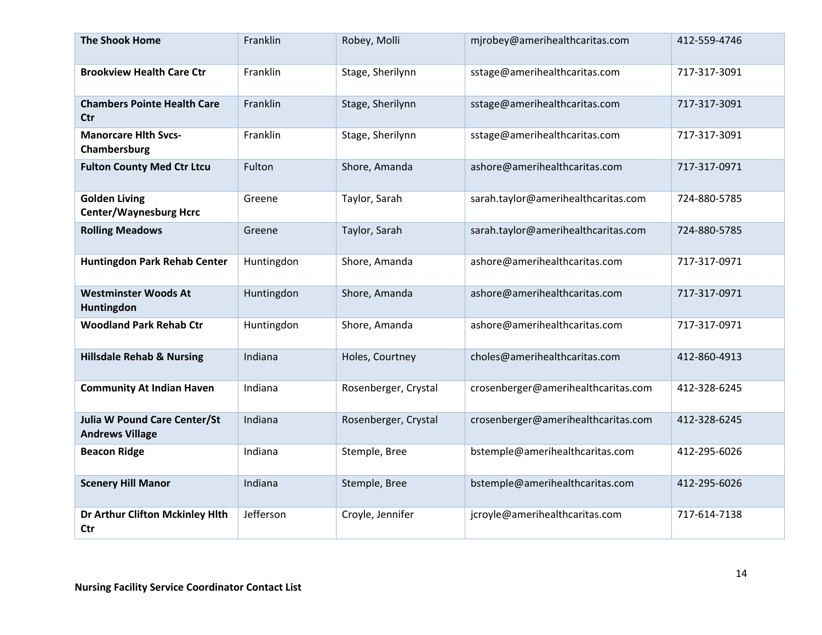| <b>The Shook Home</b>                                         | Franklin   | Robey, Molli         | mjrobey@amerihealthcaritas.com      | 412-559-4746 |
|---------------------------------------------------------------|------------|----------------------|-------------------------------------|--------------|
| <b>Brookview Health Care Ctr</b>                              | Franklin   | Stage, Sherilynn     | sstage@amerihealthcaritas.com       | 717-317-3091 |
| <b>Chambers Pointe Health Care</b><br><b>Ctr</b>              | Franklin   | Stage, Sherilynn     | sstage@amerihealthcaritas.com       | 717-317-3091 |
| <b>Manorcare Hith Svcs-</b><br>Chambersburg                   | Franklin   | Stage, Sherilynn     | sstage@amerihealthcaritas.com       | 717-317-3091 |
| <b>Fulton County Med Ctr Ltcu</b>                             | Fulton     | Shore, Amanda        | ashore@amerihealthcaritas.com       | 717-317-0971 |
| <b>Golden Living</b><br><b>Center/Waynesburg Hcrc</b>         | Greene     | Taylor, Sarah        | sarah.taylor@amerihealthcaritas.com | 724-880-5785 |
| <b>Rolling Meadows</b>                                        | Greene     | Taylor, Sarah        | sarah.taylor@amerihealthcaritas.com | 724-880-5785 |
| Huntingdon Park Rehab Center                                  | Huntingdon | Shore, Amanda        | ashore@amerihealthcaritas.com       | 717-317-0971 |
| <b>Westminster Woods At</b><br>Huntingdon                     | Huntingdon | Shore, Amanda        | ashore@amerihealthcaritas.com       | 717-317-0971 |
| <b>Woodland Park Rehab Ctr</b>                                | Huntingdon | Shore, Amanda        | ashore@amerihealthcaritas.com       | 717-317-0971 |
| <b>Hillsdale Rehab &amp; Nursing</b>                          | Indiana    | Holes, Courtney      | choles@amerihealthcaritas.com       | 412-860-4913 |
| <b>Community At Indian Haven</b>                              | Indiana    | Rosenberger, Crystal | crosenberger@amerihealthcaritas.com | 412-328-6245 |
| <b>Julia W Pound Care Center/St</b><br><b>Andrews Village</b> | Indiana    | Rosenberger, Crystal | crosenberger@amerihealthcaritas.com | 412-328-6245 |
| <b>Beacon Ridge</b>                                           | Indiana    | Stemple, Bree        | bstemple@amerihealthcaritas.com     | 412-295-6026 |
| <b>Scenery Hill Manor</b>                                     | Indiana    | Stemple, Bree        | bstemple@amerihealthcaritas.com     | 412-295-6026 |
| Dr Arthur Clifton Mckinley Hlth<br>Ctr                        | Jefferson  | Croyle, Jennifer     | jcroyle@amerihealthcaritas.com      | 717-614-7138 |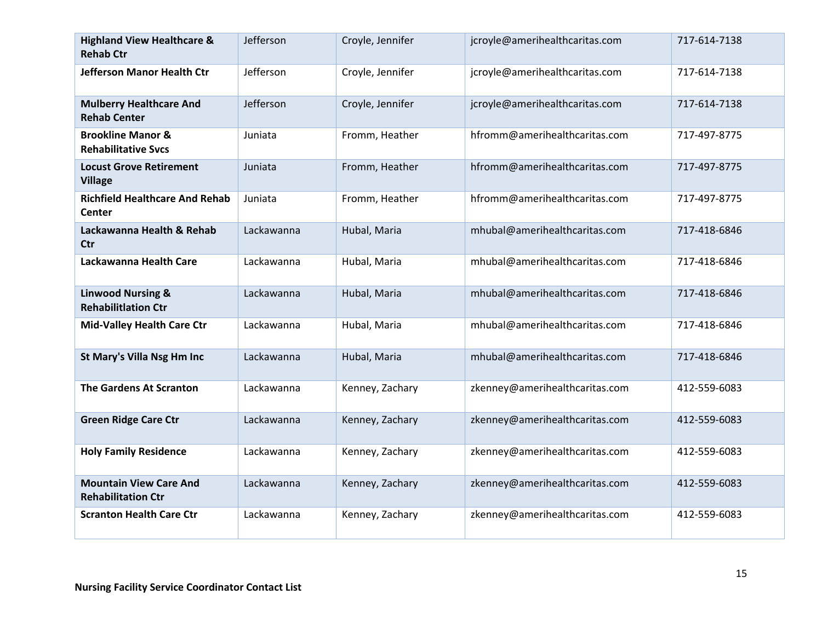| <b>Highland View Healthcare &amp;</b><br><b>Rehab Ctr</b>  | Jefferson  | Croyle, Jennifer | jcroyle@amerihealthcaritas.com | 717-614-7138 |
|------------------------------------------------------------|------------|------------------|--------------------------------|--------------|
| <b>Jefferson Manor Health Ctr</b>                          | Jefferson  | Croyle, Jennifer | jcroyle@amerihealthcaritas.com | 717-614-7138 |
| <b>Mulberry Healthcare And</b><br><b>Rehab Center</b>      | Jefferson  | Croyle, Jennifer | jcroyle@amerihealthcaritas.com | 717-614-7138 |
| <b>Brookline Manor &amp;</b><br><b>Rehabilitative Svcs</b> | Juniata    | Fromm, Heather   | hfromm@amerihealthcaritas.com  | 717-497-8775 |
| <b>Locust Grove Retirement</b><br><b>Village</b>           | Juniata    | Fromm, Heather   | hfromm@amerihealthcaritas.com  | 717-497-8775 |
| <b>Richfield Healthcare And Rehab</b><br>Center            | Juniata    | Fromm, Heather   | hfromm@amerihealthcaritas.com  | 717-497-8775 |
| Lackawanna Health & Rehab<br>Ctr                           | Lackawanna | Hubal, Maria     | mhubal@amerihealthcaritas.com  | 717-418-6846 |
| Lackawanna Health Care                                     | Lackawanna | Hubal, Maria     | mhubal@amerihealthcaritas.com  | 717-418-6846 |
| <b>Linwood Nursing &amp;</b><br><b>Rehabilitlation Ctr</b> | Lackawanna | Hubal, Maria     | mhubal@amerihealthcaritas.com  | 717-418-6846 |
| <b>Mid-Valley Health Care Ctr</b>                          | Lackawanna | Hubal, Maria     | mhubal@amerihealthcaritas.com  | 717-418-6846 |
| St Mary's Villa Nsg Hm Inc                                 | Lackawanna | Hubal, Maria     | mhubal@amerihealthcaritas.com  | 717-418-6846 |
| <b>The Gardens At Scranton</b>                             | Lackawanna | Kenney, Zachary  | zkenney@amerihealthcaritas.com | 412-559-6083 |
| <b>Green Ridge Care Ctr</b>                                | Lackawanna | Kenney, Zachary  | zkenney@amerihealthcaritas.com | 412-559-6083 |
| <b>Holy Family Residence</b>                               | Lackawanna | Kenney, Zachary  | zkenney@amerihealthcaritas.com | 412-559-6083 |
| <b>Mountain View Care And</b><br><b>Rehabilitation Ctr</b> | Lackawanna | Kenney, Zachary  | zkenney@amerihealthcaritas.com | 412-559-6083 |
| <b>Scranton Health Care Ctr</b>                            | Lackawanna | Kenney, Zachary  | zkenney@amerihealthcaritas.com | 412-559-6083 |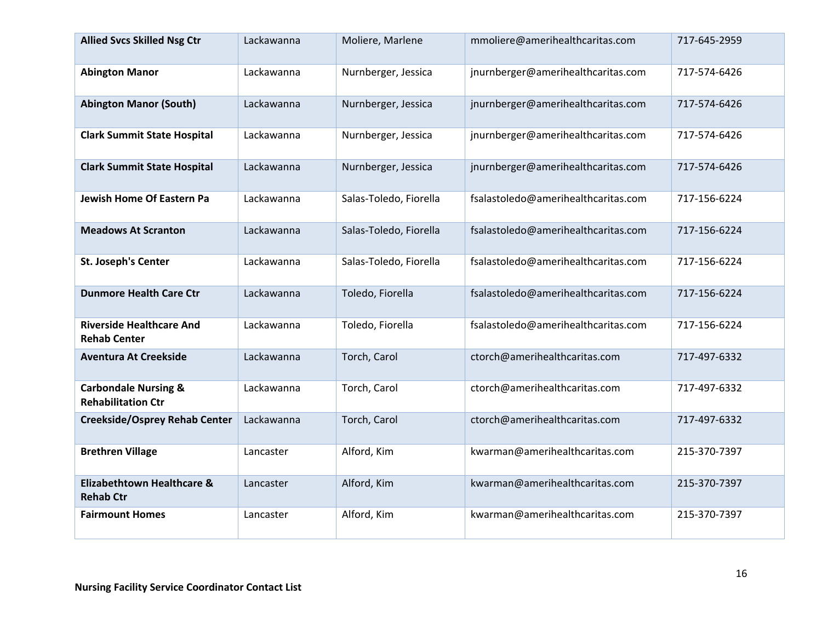| <b>Allied Svcs Skilled Nsg Ctr</b>                           | Lackawanna | Moliere, Marlene       | mmoliere@amerihealthcaritas.com     | 717-645-2959 |
|--------------------------------------------------------------|------------|------------------------|-------------------------------------|--------------|
| <b>Abington Manor</b>                                        | Lackawanna | Nurnberger, Jessica    | jnurnberger@amerihealthcaritas.com  | 717-574-6426 |
| <b>Abington Manor (South)</b>                                | Lackawanna | Nurnberger, Jessica    | jnurnberger@amerihealthcaritas.com  | 717-574-6426 |
| <b>Clark Summit State Hospital</b>                           | Lackawanna | Nurnberger, Jessica    | jnurnberger@amerihealthcaritas.com  | 717-574-6426 |
| <b>Clark Summit State Hospital</b>                           | Lackawanna | Nurnberger, Jessica    | jnurnberger@amerihealthcaritas.com  | 717-574-6426 |
| <b>Jewish Home Of Eastern Pa</b>                             | Lackawanna | Salas-Toledo, Fiorella | fsalastoledo@amerihealthcaritas.com | 717-156-6224 |
| <b>Meadows At Scranton</b>                                   | Lackawanna | Salas-Toledo, Fiorella | fsalastoledo@amerihealthcaritas.com | 717-156-6224 |
| <b>St. Joseph's Center</b>                                   | Lackawanna | Salas-Toledo, Fiorella | fsalastoledo@amerihealthcaritas.com | 717-156-6224 |
| <b>Dunmore Health Care Ctr</b>                               | Lackawanna | Toledo, Fiorella       | fsalastoledo@amerihealthcaritas.com | 717-156-6224 |
| <b>Riverside Healthcare And</b><br><b>Rehab Center</b>       | Lackawanna | Toledo, Fiorella       | fsalastoledo@amerihealthcaritas.com | 717-156-6224 |
| <b>Aventura At Creekside</b>                                 | Lackawanna | Torch, Carol           | ctorch@amerihealthcaritas.com       | 717-497-6332 |
| <b>Carbondale Nursing &amp;</b><br><b>Rehabilitation Ctr</b> | Lackawanna | Torch, Carol           | ctorch@amerihealthcaritas.com       | 717-497-6332 |
| <b>Creekside/Osprey Rehab Center</b>                         | Lackawanna | Torch, Carol           | ctorch@amerihealthcaritas.com       | 717-497-6332 |
| <b>Brethren Village</b>                                      | Lancaster  | Alford, Kim            | kwarman@amerihealthcaritas.com      | 215-370-7397 |
| <b>Elizabethtown Healthcare &amp;</b><br><b>Rehab Ctr</b>    | Lancaster  | Alford, Kim            | kwarman@amerihealthcaritas.com      | 215-370-7397 |
| <b>Fairmount Homes</b>                                       | Lancaster  | Alford, Kim            | kwarman@amerihealthcaritas.com      | 215-370-7397 |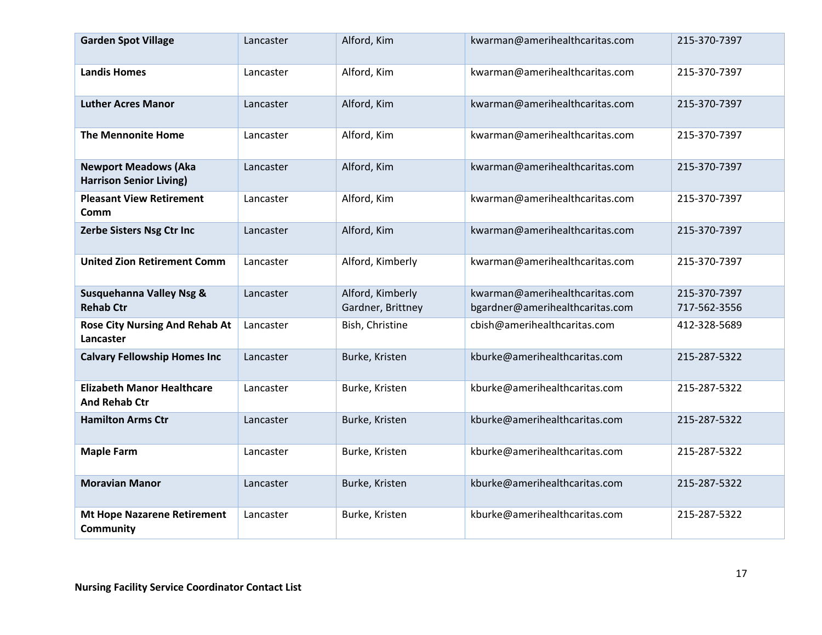| <b>Garden Spot Village</b>                                    | Lancaster | Alford, Kim                           | kwarman@amerihealthcaritas.com                                    | 215-370-7397                 |
|---------------------------------------------------------------|-----------|---------------------------------------|-------------------------------------------------------------------|------------------------------|
| <b>Landis Homes</b>                                           | Lancaster | Alford, Kim                           | kwarman@amerihealthcaritas.com                                    | 215-370-7397                 |
| <b>Luther Acres Manor</b>                                     | Lancaster | Alford, Kim                           | kwarman@amerihealthcaritas.com                                    | 215-370-7397                 |
| <b>The Mennonite Home</b>                                     | Lancaster | Alford, Kim                           | kwarman@amerihealthcaritas.com                                    | 215-370-7397                 |
| <b>Newport Meadows (Aka</b><br><b>Harrison Senior Living)</b> | Lancaster | Alford, Kim                           | kwarman@amerihealthcaritas.com                                    | 215-370-7397                 |
| <b>Pleasant View Retirement</b><br>Comm                       | Lancaster | Alford, Kim                           | kwarman@amerihealthcaritas.com                                    | 215-370-7397                 |
| Zerbe Sisters Nsg Ctr Inc                                     | Lancaster | Alford, Kim                           | kwarman@amerihealthcaritas.com                                    | 215-370-7397                 |
| <b>United Zion Retirement Comm</b>                            | Lancaster | Alford, Kimberly                      | kwarman@amerihealthcaritas.com                                    | 215-370-7397                 |
| <b>Susquehanna Valley Nsg &amp;</b><br><b>Rehab Ctr</b>       | Lancaster | Alford, Kimberly<br>Gardner, Brittney | kwarman@amerihealthcaritas.com<br>bgardner@amerihealthcaritas.com | 215-370-7397<br>717-562-3556 |
| <b>Rose City Nursing And Rehab At</b><br>Lancaster            | Lancaster | Bish, Christine                       | cbish@amerihealthcaritas.com                                      | 412-328-5689                 |
| <b>Calvary Fellowship Homes Inc</b>                           | Lancaster | Burke, Kristen                        | kburke@amerihealthcaritas.com                                     | 215-287-5322                 |
| <b>Elizabeth Manor Healthcare</b><br><b>And Rehab Ctr</b>     | Lancaster | Burke, Kristen                        | kburke@amerihealthcaritas.com                                     | 215-287-5322                 |
| <b>Hamilton Arms Ctr</b>                                      | Lancaster | Burke, Kristen                        | kburke@amerihealthcaritas.com                                     | 215-287-5322                 |
| <b>Maple Farm</b>                                             | Lancaster | Burke, Kristen                        | kburke@amerihealthcaritas.com                                     | 215-287-5322                 |
| <b>Moravian Manor</b>                                         | Lancaster | Burke, Kristen                        | kburke@amerihealthcaritas.com                                     | 215-287-5322                 |
| <b>Mt Hope Nazarene Retirement</b><br>Community               | Lancaster | Burke, Kristen                        | kburke@amerihealthcaritas.com                                     | 215-287-5322                 |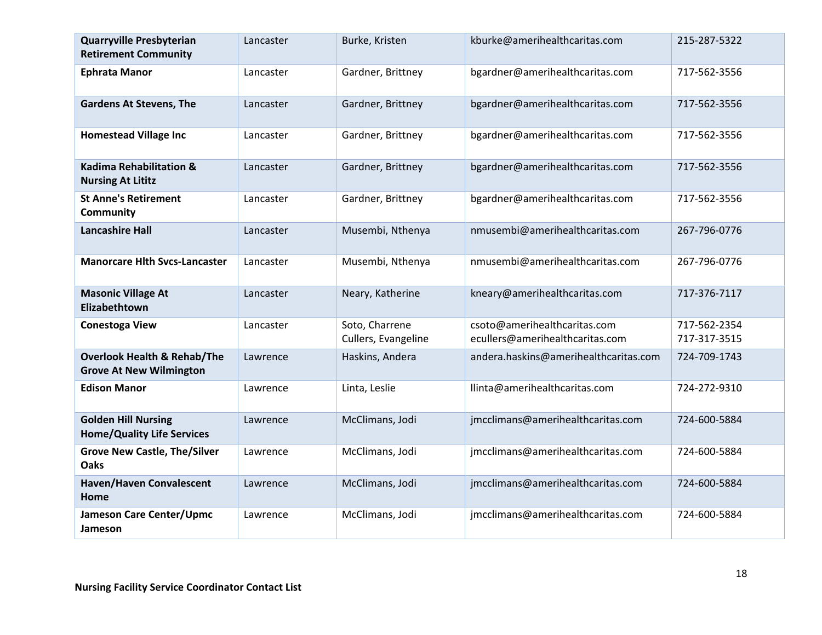| <b>Quarryville Presbyterian</b><br><b>Retirement Community</b>           | Lancaster | Burke, Kristen                        | kburke@amerihealthcaritas.com                                   | 215-287-5322                 |
|--------------------------------------------------------------------------|-----------|---------------------------------------|-----------------------------------------------------------------|------------------------------|
| <b>Ephrata Manor</b>                                                     | Lancaster | Gardner, Brittney                     | bgardner@amerihealthcaritas.com                                 | 717-562-3556                 |
| <b>Gardens At Stevens, The</b>                                           | Lancaster | Gardner, Brittney                     | bgardner@amerihealthcaritas.com                                 | 717-562-3556                 |
| <b>Homestead Village Inc</b>                                             | Lancaster | Gardner, Brittney                     | bgardner@amerihealthcaritas.com                                 | 717-562-3556                 |
| <b>Kadima Rehabilitation &amp;</b><br><b>Nursing At Lititz</b>           | Lancaster | Gardner, Brittney                     | bgardner@amerihealthcaritas.com                                 | 717-562-3556                 |
| <b>St Anne's Retirement</b><br><b>Community</b>                          | Lancaster | Gardner, Brittney                     | bgardner@amerihealthcaritas.com                                 | 717-562-3556                 |
| <b>Lancashire Hall</b>                                                   | Lancaster | Musembi, Nthenya                      | nmusembi@amerihealthcaritas.com                                 | 267-796-0776                 |
| <b>Manorcare Hith Svcs-Lancaster</b>                                     | Lancaster | Musembi, Nthenya                      | nmusembi@amerihealthcaritas.com                                 | 267-796-0776                 |
| <b>Masonic Village At</b><br>Elizabethtown                               | Lancaster | Neary, Katherine                      | kneary@amerihealthcaritas.com                                   | 717-376-7117                 |
| <b>Conestoga View</b>                                                    | Lancaster | Soto, Charrene<br>Cullers, Evangeline | csoto@amerihealthcaritas.com<br>ecullers@amerihealthcaritas.com | 717-562-2354<br>717-317-3515 |
| <b>Overlook Health &amp; Rehab/The</b><br><b>Grove At New Wilmington</b> | Lawrence  | Haskins, Andera                       | andera.haskins@amerihealthcaritas.com                           | 724-709-1743                 |
| <b>Edison Manor</b>                                                      | Lawrence  | Linta, Leslie                         | llinta@amerihealthcaritas.com                                   | 724-272-9310                 |
| <b>Golden Hill Nursing</b><br><b>Home/Quality Life Services</b>          | Lawrence  | McClimans, Jodi                       | jmcclimans@amerihealthcaritas.com                               | 724-600-5884                 |
| <b>Grove New Castle, The/Silver</b><br>Oaks                              | Lawrence  | McClimans, Jodi                       | jmcclimans@amerihealthcaritas.com                               | 724-600-5884                 |
| <b>Haven/Haven Convalescent</b><br>Home                                  | Lawrence  | McClimans, Jodi                       | jmcclimans@amerihealthcaritas.com                               | 724-600-5884                 |
| Jameson Care Center/Upmc<br>Jameson                                      | Lawrence  | McClimans, Jodi                       | jmcclimans@amerihealthcaritas.com                               | 724-600-5884                 |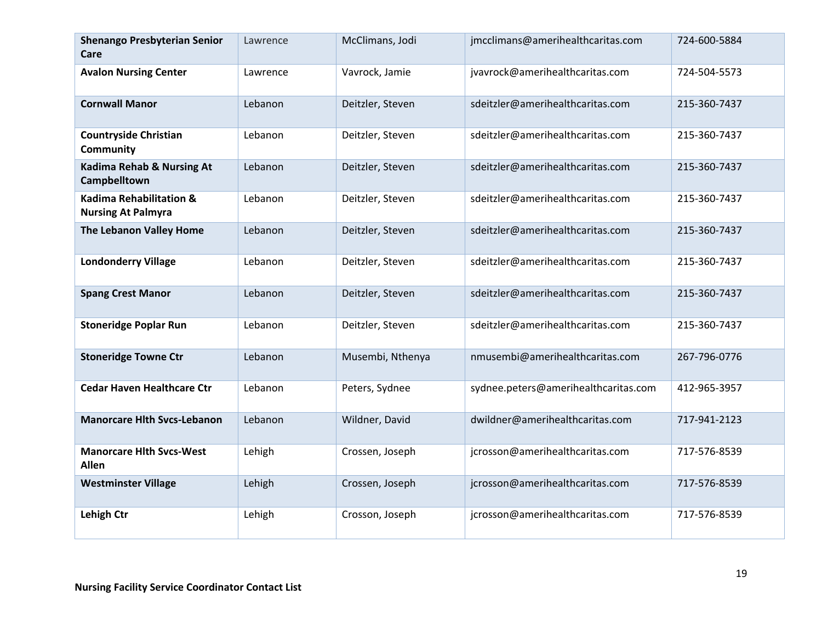| <b>Shenango Presbyterian Senior</b><br>Care                     | Lawrence | McClimans, Jodi  | jmcclimans@amerihealthcaritas.com    | 724-600-5884 |
|-----------------------------------------------------------------|----------|------------------|--------------------------------------|--------------|
| <b>Avalon Nursing Center</b>                                    | Lawrence | Vavrock, Jamie   | jvavrock@amerihealthcaritas.com      | 724-504-5573 |
| <b>Cornwall Manor</b>                                           | Lebanon  | Deitzler, Steven | sdeitzler@amerihealthcaritas.com     | 215-360-7437 |
| <b>Countryside Christian</b><br>Community                       | Lebanon  | Deitzler, Steven | sdeitzler@amerihealthcaritas.com     | 215-360-7437 |
| <b>Kadima Rehab &amp; Nursing At</b><br>Campbelltown            | Lebanon  | Deitzler, Steven | sdeitzler@amerihealthcaritas.com     | 215-360-7437 |
| <b>Kadima Rehabilitation &amp;</b><br><b>Nursing At Palmyra</b> | Lebanon  | Deitzler, Steven | sdeitzler@amerihealthcaritas.com     | 215-360-7437 |
| The Lebanon Valley Home                                         | Lebanon  | Deitzler, Steven | sdeitzler@amerihealthcaritas.com     | 215-360-7437 |
| <b>Londonderry Village</b>                                      | Lebanon  | Deitzler, Steven | sdeitzler@amerihealthcaritas.com     | 215-360-7437 |
| <b>Spang Crest Manor</b>                                        | Lebanon  | Deitzler, Steven | sdeitzler@amerihealthcaritas.com     | 215-360-7437 |
| <b>Stoneridge Poplar Run</b>                                    | Lebanon  | Deitzler, Steven | sdeitzler@amerihealthcaritas.com     | 215-360-7437 |
| <b>Stoneridge Towne Ctr</b>                                     | Lebanon  | Musembi, Nthenya | nmusembi@amerihealthcaritas.com      | 267-796-0776 |
| <b>Cedar Haven Healthcare Ctr</b>                               | Lebanon  | Peters, Sydnee   | sydnee.peters@amerihealthcaritas.com | 412-965-3957 |
| <b>Manorcare Hith Svcs-Lebanon</b>                              | Lebanon  | Wildner, David   | dwildner@amerihealthcaritas.com      | 717-941-2123 |
| <b>Manorcare Hith Svcs-West</b><br><b>Allen</b>                 | Lehigh   | Crossen, Joseph  | jcrosson@amerihealthcaritas.com      | 717-576-8539 |
| <b>Westminster Village</b>                                      | Lehigh   | Crossen, Joseph  | jcrosson@amerihealthcaritas.com      | 717-576-8539 |
| <b>Lehigh Ctr</b>                                               | Lehigh   | Crosson, Joseph  | jcrosson@amerihealthcaritas.com      | 717-576-8539 |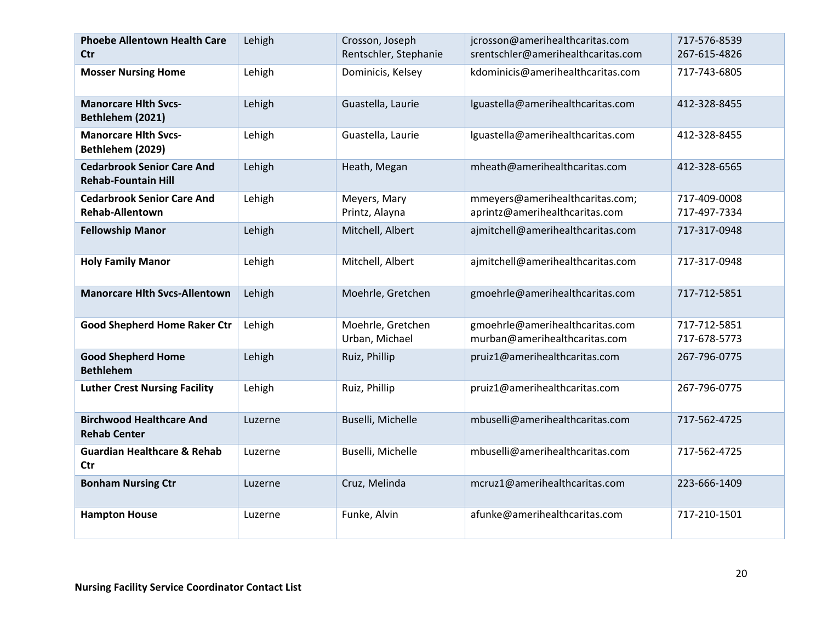| <b>Phoebe Allentown Health Care</b><br><b>Ctr</b>               | Lehigh  | Crosson, Joseph<br>Rentschler, Stephanie | jcrosson@amerihealthcaritas.com<br>srentschler@amerihealthcaritas.com | 717-576-8539<br>267-615-4826 |
|-----------------------------------------------------------------|---------|------------------------------------------|-----------------------------------------------------------------------|------------------------------|
| <b>Mosser Nursing Home</b>                                      | Lehigh  | Dominicis, Kelsey                        | kdominicis@amerihealthcaritas.com                                     | 717-743-6805                 |
| <b>Manorcare Hith Svcs-</b><br>Bethlehem (2021)                 | Lehigh  | Guastella, Laurie                        | lguastella@amerihealthcaritas.com                                     | 412-328-8455                 |
| <b>Manorcare Hith Svcs-</b><br>Bethlehem (2029)                 | Lehigh  | Guastella, Laurie                        | lguastella@amerihealthcaritas.com                                     | 412-328-8455                 |
| <b>Cedarbrook Senior Care And</b><br><b>Rehab-Fountain Hill</b> | Lehigh  | Heath, Megan                             | mheath@amerihealthcaritas.com                                         | 412-328-6565                 |
| <b>Cedarbrook Senior Care And</b><br><b>Rehab-Allentown</b>     | Lehigh  | Meyers, Mary<br>Printz, Alayna           | mmeyers@amerihealthcaritas.com;<br>aprintz@amerihealthcaritas.com     | 717-409-0008<br>717-497-7334 |
| <b>Fellowship Manor</b>                                         | Lehigh  | Mitchell, Albert                         | ajmitchell@amerihealthcaritas.com                                     | 717-317-0948                 |
| <b>Holy Family Manor</b>                                        | Lehigh  | Mitchell, Albert                         | ajmitchell@amerihealthcaritas.com                                     | 717-317-0948                 |
| <b>Manorcare Hith Svcs-Allentown</b>                            | Lehigh  | Moehrle, Gretchen                        | gmoehrle@amerihealthcaritas.com                                       | 717-712-5851                 |
| <b>Good Shepherd Home Raker Ctr</b>                             | Lehigh  | Moehrle, Gretchen<br>Urban, Michael      | gmoehrle@amerihealthcaritas.com<br>murban@amerihealthcaritas.com      | 717-712-5851<br>717-678-5773 |
| <b>Good Shepherd Home</b><br><b>Bethlehem</b>                   | Lehigh  | Ruiz, Phillip                            | pruiz1@amerihealthcaritas.com                                         | 267-796-0775                 |
| <b>Luther Crest Nursing Facility</b>                            | Lehigh  | Ruiz, Phillip                            | pruiz1@amerihealthcaritas.com                                         | 267-796-0775                 |
| <b>Birchwood Healthcare And</b><br><b>Rehab Center</b>          | Luzerne | Buselli, Michelle                        | mbuselli@amerihealthcaritas.com                                       | 717-562-4725                 |
| <b>Guardian Healthcare &amp; Rehab</b><br><b>Ctr</b>            | Luzerne | Buselli, Michelle                        | mbuselli@amerihealthcaritas.com                                       | 717-562-4725                 |
| <b>Bonham Nursing Ctr</b>                                       | Luzerne | Cruz, Melinda                            | mcruz1@amerihealthcaritas.com                                         | 223-666-1409                 |
| <b>Hampton House</b>                                            | Luzerne | Funke, Alvin                             | afunke@amerihealthcaritas.com                                         | 717-210-1501                 |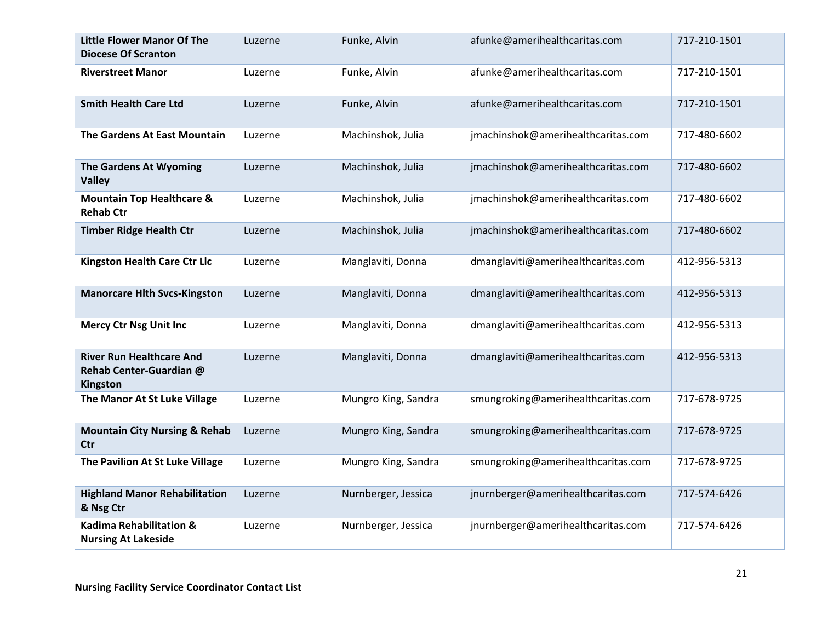| <b>Little Flower Manor Of The</b><br><b>Diocese Of Scranton</b>        | Luzerne | Funke, Alvin        | afunke@amerihealthcaritas.com      | 717-210-1501 |
|------------------------------------------------------------------------|---------|---------------------|------------------------------------|--------------|
| <b>Riverstreet Manor</b>                                               | Luzerne | Funke, Alvin        | afunke@amerihealthcaritas.com      | 717-210-1501 |
| <b>Smith Health Care Ltd</b>                                           | Luzerne | Funke, Alvin        | afunke@amerihealthcaritas.com      | 717-210-1501 |
| The Gardens At East Mountain                                           | Luzerne | Machinshok, Julia   | jmachinshok@amerihealthcaritas.com | 717-480-6602 |
| The Gardens At Wyoming<br><b>Valley</b>                                | Luzerne | Machinshok, Julia   | jmachinshok@amerihealthcaritas.com | 717-480-6602 |
| <b>Mountain Top Healthcare &amp;</b><br><b>Rehab Ctr</b>               | Luzerne | Machinshok, Julia   | jmachinshok@amerihealthcaritas.com | 717-480-6602 |
| <b>Timber Ridge Health Ctr</b>                                         | Luzerne | Machinshok, Julia   | jmachinshok@amerihealthcaritas.com | 717-480-6602 |
| <b>Kingston Health Care Ctr Llc</b>                                    | Luzerne | Manglaviti, Donna   | dmanglaviti@amerihealthcaritas.com | 412-956-5313 |
| <b>Manorcare Hlth Svcs-Kingston</b>                                    | Luzerne | Manglaviti, Donna   | dmanglaviti@amerihealthcaritas.com | 412-956-5313 |
| <b>Mercy Ctr Nsg Unit Inc</b>                                          | Luzerne | Manglaviti, Donna   | dmanglaviti@amerihealthcaritas.com | 412-956-5313 |
| <b>River Run Healthcare And</b><br>Rehab Center-Guardian @<br>Kingston | Luzerne | Manglaviti, Donna   | dmanglaviti@amerihealthcaritas.com | 412-956-5313 |
| The Manor At St Luke Village                                           | Luzerne | Mungro King, Sandra | smungroking@amerihealthcaritas.com | 717-678-9725 |
| <b>Mountain City Nursing &amp; Rehab</b><br><b>Ctr</b>                 | Luzerne | Mungro King, Sandra | smungroking@amerihealthcaritas.com | 717-678-9725 |
| The Pavilion At St Luke Village                                        | Luzerne | Mungro King, Sandra | smungroking@amerihealthcaritas.com | 717-678-9725 |
| <b>Highland Manor Rehabilitation</b><br>& Nsg Ctr                      | Luzerne | Nurnberger, Jessica | jnurnberger@amerihealthcaritas.com | 717-574-6426 |
| <b>Kadima Rehabilitation &amp;</b><br><b>Nursing At Lakeside</b>       | Luzerne | Nurnberger, Jessica | jnurnberger@amerihealthcaritas.com | 717-574-6426 |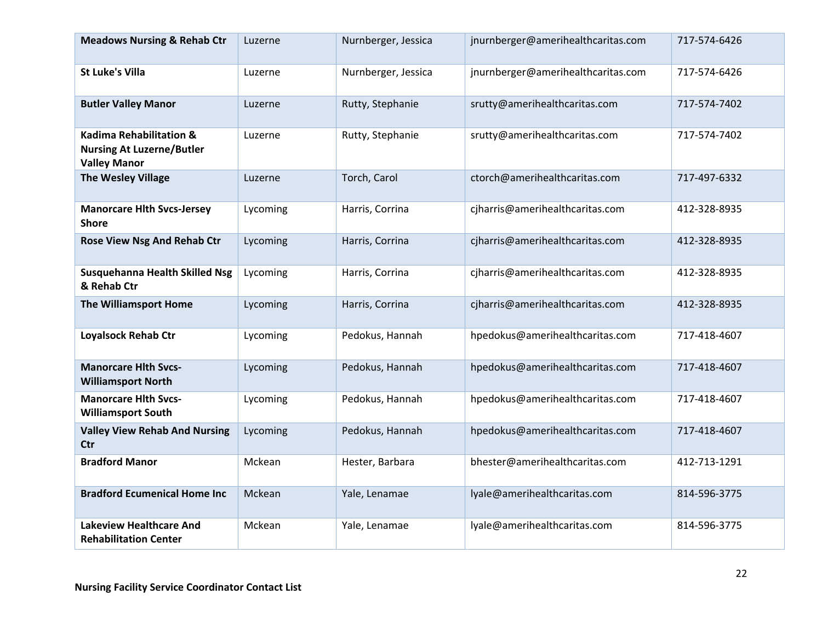| <b>Meadows Nursing &amp; Rehab Ctr</b>                                                        | Luzerne  | Nurnberger, Jessica | jnurnberger@amerihealthcaritas.com | 717-574-6426 |
|-----------------------------------------------------------------------------------------------|----------|---------------------|------------------------------------|--------------|
| <b>St Luke's Villa</b>                                                                        | Luzerne  | Nurnberger, Jessica | jnurnberger@amerihealthcaritas.com | 717-574-6426 |
| <b>Butler Valley Manor</b>                                                                    | Luzerne  | Rutty, Stephanie    | srutty@amerihealthcaritas.com      | 717-574-7402 |
| <b>Kadima Rehabilitation &amp;</b><br><b>Nursing At Luzerne/Butler</b><br><b>Valley Manor</b> | Luzerne  | Rutty, Stephanie    | srutty@amerihealthcaritas.com      | 717-574-7402 |
| <b>The Wesley Village</b>                                                                     | Luzerne  | Torch, Carol        | ctorch@amerihealthcaritas.com      | 717-497-6332 |
| <b>Manorcare Hlth Svcs-Jersey</b><br><b>Shore</b>                                             | Lycoming | Harris, Corrina     | cjharris@amerihealthcaritas.com    | 412-328-8935 |
| <b>Rose View Nsg And Rehab Ctr</b>                                                            | Lycoming | Harris, Corrina     | cjharris@amerihealthcaritas.com    | 412-328-8935 |
| Susquehanna Health Skilled Nsg<br>& Rehab Ctr                                                 | Lycoming | Harris, Corrina     | cjharris@amerihealthcaritas.com    | 412-328-8935 |
| The Williamsport Home                                                                         | Lycoming | Harris, Corrina     | cjharris@amerihealthcaritas.com    | 412-328-8935 |
| Loyalsock Rehab Ctr                                                                           | Lycoming | Pedokus, Hannah     | hpedokus@amerihealthcaritas.com    | 717-418-4607 |
| <b>Manorcare Hith Svcs-</b><br><b>Williamsport North</b>                                      | Lycoming | Pedokus, Hannah     | hpedokus@amerihealthcaritas.com    | 717-418-4607 |
| <b>Manorcare Hlth Svcs-</b><br><b>Williamsport South</b>                                      | Lycoming | Pedokus, Hannah     | hpedokus@amerihealthcaritas.com    | 717-418-4607 |
| <b>Valley View Rehab And Nursing</b><br><b>Ctr</b>                                            | Lycoming | Pedokus, Hannah     | hpedokus@amerihealthcaritas.com    | 717-418-4607 |
| <b>Bradford Manor</b>                                                                         | Mckean   | Hester, Barbara     | bhester@amerihealthcaritas.com     | 412-713-1291 |
| <b>Bradford Ecumenical Home Inc</b>                                                           | Mckean   | Yale, Lenamae       | lyale@amerihealthcaritas.com       | 814-596-3775 |
| <b>Lakeview Healthcare And</b><br><b>Rehabilitation Center</b>                                | Mckean   | Yale, Lenamae       | lyale@amerihealthcaritas.com       | 814-596-3775 |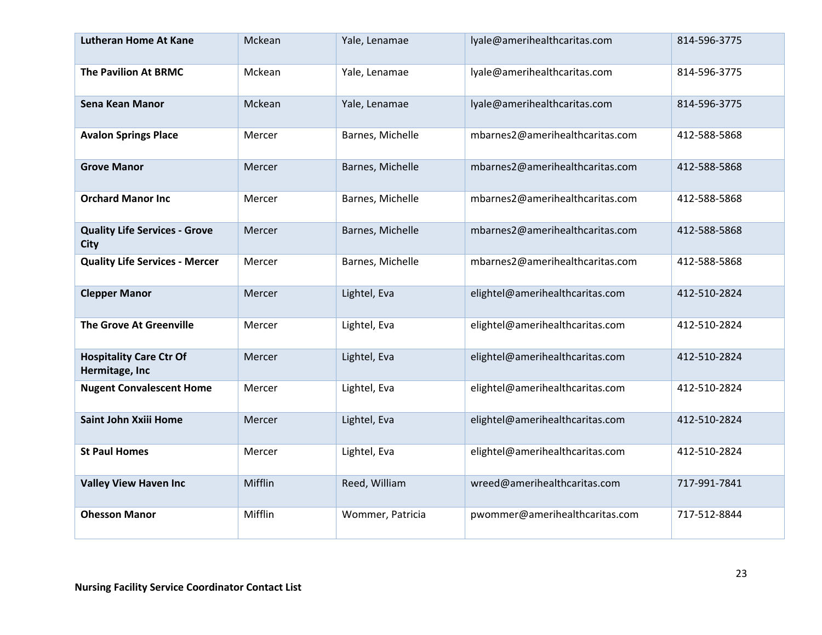| <b>Lutheran Home At Kane</b>                        | Mckean  | Yale, Lenamae    | lyale@amerihealthcaritas.com    | 814-596-3775 |
|-----------------------------------------------------|---------|------------------|---------------------------------|--------------|
| <b>The Pavilion At BRMC</b>                         | Mckean  | Yale, Lenamae    | lyale@amerihealthcaritas.com    | 814-596-3775 |
| Sena Kean Manor                                     | Mckean  | Yale, Lenamae    | lyale@amerihealthcaritas.com    | 814-596-3775 |
| <b>Avalon Springs Place</b>                         | Mercer  | Barnes, Michelle | mbarnes2@amerihealthcaritas.com | 412-588-5868 |
| <b>Grove Manor</b>                                  | Mercer  | Barnes, Michelle | mbarnes2@amerihealthcaritas.com | 412-588-5868 |
| <b>Orchard Manor Inc</b>                            | Mercer  | Barnes, Michelle | mbarnes2@amerihealthcaritas.com | 412-588-5868 |
| <b>Quality Life Services - Grove</b><br><b>City</b> | Mercer  | Barnes, Michelle | mbarnes2@amerihealthcaritas.com | 412-588-5868 |
| <b>Quality Life Services - Mercer</b>               | Mercer  | Barnes, Michelle | mbarnes2@amerihealthcaritas.com | 412-588-5868 |
| <b>Clepper Manor</b>                                | Mercer  | Lightel, Eva     | elightel@amerihealthcaritas.com | 412-510-2824 |
| <b>The Grove At Greenville</b>                      | Mercer  | Lightel, Eva     | elightel@amerihealthcaritas.com | 412-510-2824 |
| <b>Hospitality Care Ctr Of</b><br>Hermitage, Inc    | Mercer  | Lightel, Eva     | elightel@amerihealthcaritas.com | 412-510-2824 |
| <b>Nugent Convalescent Home</b>                     | Mercer  | Lightel, Eva     | elightel@amerihealthcaritas.com | 412-510-2824 |
| Saint John Xxiii Home                               | Mercer  | Lightel, Eva     | elightel@amerihealthcaritas.com | 412-510-2824 |
| <b>St Paul Homes</b>                                | Mercer  | Lightel, Eva     | elightel@amerihealthcaritas.com | 412-510-2824 |
| <b>Valley View Haven Inc</b>                        | Mifflin | Reed, William    | wreed@amerihealthcaritas.com    | 717-991-7841 |
| <b>Ohesson Manor</b>                                | Mifflin | Wommer, Patricia | pwommer@amerihealthcaritas.com  | 717-512-8844 |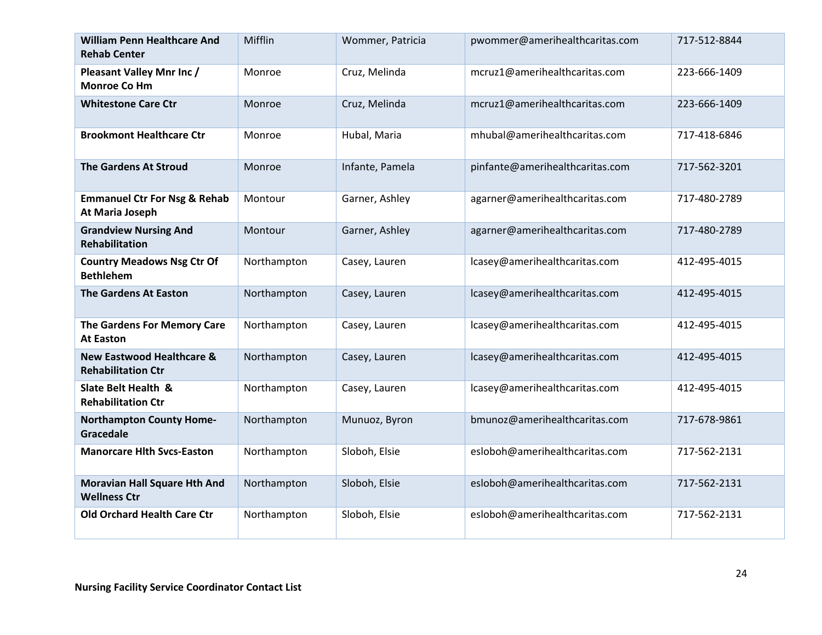| <b>William Penn Healthcare And</b><br><b>Rehab Center</b>         | Mifflin     | Wommer, Patricia | pwommer@amerihealthcaritas.com  | 717-512-8844 |
|-------------------------------------------------------------------|-------------|------------------|---------------------------------|--------------|
| Pleasant Valley Mnr Inc /<br><b>Monroe Co Hm</b>                  | Monroe      | Cruz, Melinda    | mcruz1@amerihealthcaritas.com   | 223-666-1409 |
| <b>Whitestone Care Ctr</b>                                        | Monroe      | Cruz, Melinda    | mcruz1@amerihealthcaritas.com   | 223-666-1409 |
| <b>Brookmont Healthcare Ctr</b>                                   | Monroe      | Hubal, Maria     | mhubal@amerihealthcaritas.com   | 717-418-6846 |
| <b>The Gardens At Stroud</b>                                      | Monroe      | Infante, Pamela  | pinfante@amerihealthcaritas.com | 717-562-3201 |
| <b>Emmanuel Ctr For Nsg &amp; Rehab</b><br>At Maria Joseph        | Montour     | Garner, Ashley   | agarner@amerihealthcaritas.com  | 717-480-2789 |
| <b>Grandview Nursing And</b><br><b>Rehabilitation</b>             | Montour     | Garner, Ashley   | agarner@amerihealthcaritas.com  | 717-480-2789 |
| <b>Country Meadows Nsg Ctr Of</b><br><b>Bethlehem</b>             | Northampton | Casey, Lauren    | lcasey@amerihealthcaritas.com   | 412-495-4015 |
| <b>The Gardens At Easton</b>                                      | Northampton | Casey, Lauren    | lcasey@amerihealthcaritas.com   | 412-495-4015 |
| The Gardens For Memory Care<br><b>At Easton</b>                   | Northampton | Casey, Lauren    | lcasey@amerihealthcaritas.com   | 412-495-4015 |
| <b>New Eastwood Healthcare &amp;</b><br><b>Rehabilitation Ctr</b> | Northampton | Casey, Lauren    | lcasey@amerihealthcaritas.com   | 412-495-4015 |
| Slate Belt Health &<br><b>Rehabilitation Ctr</b>                  | Northampton | Casey, Lauren    | lcasey@amerihealthcaritas.com   | 412-495-4015 |
| <b>Northampton County Home-</b><br>Gracedale                      | Northampton | Munuoz, Byron    | bmunoz@amerihealthcaritas.com   | 717-678-9861 |
| <b>Manorcare Hith Svcs-Easton</b>                                 | Northampton | Sloboh, Elsie    | esloboh@amerihealthcaritas.com  | 717-562-2131 |
| <b>Moravian Hall Square Hth And</b><br><b>Wellness Ctr</b>        | Northampton | Sloboh, Elsie    | esloboh@amerihealthcaritas.com  | 717-562-2131 |
| <b>Old Orchard Health Care Ctr</b>                                | Northampton | Sloboh, Elsie    | esloboh@amerihealthcaritas.com  | 717-562-2131 |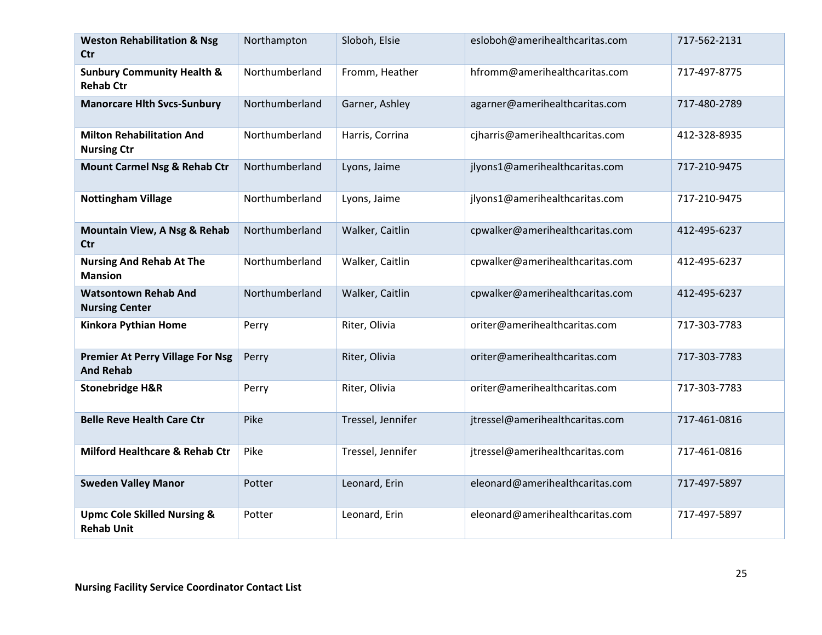| <b>Weston Rehabilitation &amp; Nsg</b><br><b>Ctr</b>        | Northampton    | Sloboh, Elsie     | esloboh@amerihealthcaritas.com  | 717-562-2131 |
|-------------------------------------------------------------|----------------|-------------------|---------------------------------|--------------|
| <b>Sunbury Community Health &amp;</b><br><b>Rehab Ctr</b>   | Northumberland | Fromm, Heather    | hfromm@amerihealthcaritas.com   | 717-497-8775 |
| <b>Manorcare Hith Svcs-Sunbury</b>                          | Northumberland | Garner, Ashley    | agarner@amerihealthcaritas.com  | 717-480-2789 |
| <b>Milton Rehabilitation And</b><br><b>Nursing Ctr</b>      | Northumberland | Harris, Corrina   | cjharris@amerihealthcaritas.com | 412-328-8935 |
| <b>Mount Carmel Nsg &amp; Rehab Ctr</b>                     | Northumberland | Lyons, Jaime      | jlyons1@amerihealthcaritas.com  | 717-210-9475 |
| <b>Nottingham Village</b>                                   | Northumberland | Lyons, Jaime      | jlyons1@amerihealthcaritas.com  | 717-210-9475 |
| Mountain View, A Nsg & Rehab<br>Ctr                         | Northumberland | Walker, Caitlin   | cpwalker@amerihealthcaritas.com | 412-495-6237 |
| <b>Nursing And Rehab At The</b><br><b>Mansion</b>           | Northumberland | Walker, Caitlin   | cpwalker@amerihealthcaritas.com | 412-495-6237 |
| <b>Watsontown Rehab And</b><br><b>Nursing Center</b>        | Northumberland | Walker, Caitlin   | cpwalker@amerihealthcaritas.com | 412-495-6237 |
| <b>Kinkora Pythian Home</b>                                 | Perry          | Riter, Olivia     | oriter@amerihealthcaritas.com   | 717-303-7783 |
| <b>Premier At Perry Village For Nsg</b><br><b>And Rehab</b> | Perry          | Riter, Olivia     | oriter@amerihealthcaritas.com   | 717-303-7783 |
| <b>Stonebridge H&amp;R</b>                                  | Perry          | Riter, Olivia     | oriter@amerihealthcaritas.com   | 717-303-7783 |
| <b>Belle Reve Health Care Ctr</b>                           | Pike           | Tressel, Jennifer | jtressel@amerihealthcaritas.com | 717-461-0816 |
| Milford Healthcare & Rehab Ctr                              | Pike           | Tressel, Jennifer | jtressel@amerihealthcaritas.com | 717-461-0816 |
| <b>Sweden Valley Manor</b>                                  | Potter         | Leonard, Erin     | eleonard@amerihealthcaritas.com | 717-497-5897 |
| <b>Upmc Cole Skilled Nursing &amp;</b><br><b>Rehab Unit</b> | Potter         | Leonard, Erin     | eleonard@amerihealthcaritas.com | 717-497-5897 |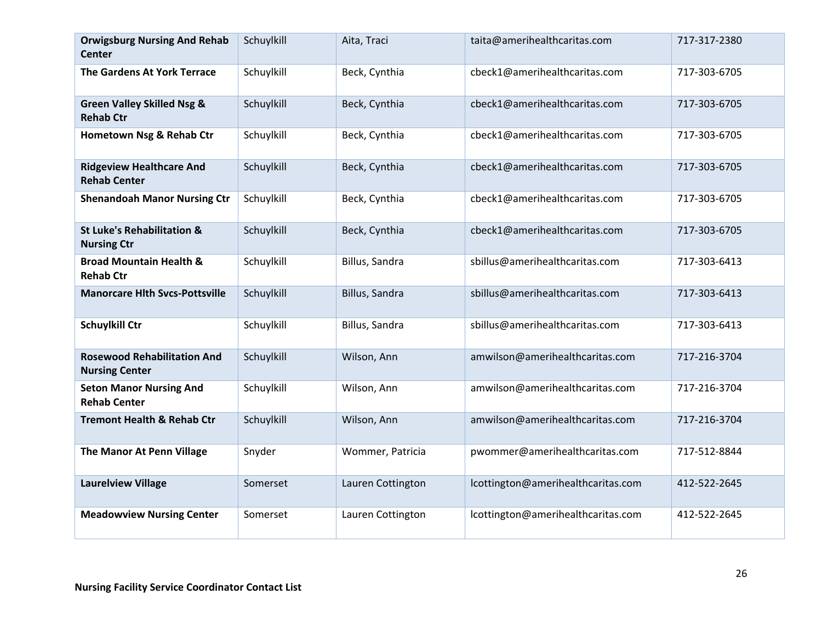| <b>Orwigsburg Nursing And Rehab</b><br><b>Center</b>        | Schuylkill | Aita, Traci       | taita@amerihealthcaritas.com       | 717-317-2380 |
|-------------------------------------------------------------|------------|-------------------|------------------------------------|--------------|
| The Gardens At York Terrace                                 | Schuylkill | Beck, Cynthia     | cbeck1@amerihealthcaritas.com      | 717-303-6705 |
| <b>Green Valley Skilled Nsg &amp;</b><br><b>Rehab Ctr</b>   | Schuylkill | Beck, Cynthia     | cbeck1@amerihealthcaritas.com      | 717-303-6705 |
| Hometown Nsg & Rehab Ctr                                    | Schuylkill | Beck, Cynthia     | cbeck1@amerihealthcaritas.com      | 717-303-6705 |
| <b>Ridgeview Healthcare And</b><br><b>Rehab Center</b>      | Schuylkill | Beck, Cynthia     | cbeck1@amerihealthcaritas.com      | 717-303-6705 |
| <b>Shenandoah Manor Nursing Ctr</b>                         | Schuylkill | Beck, Cynthia     | cbeck1@amerihealthcaritas.com      | 717-303-6705 |
| <b>St Luke's Rehabilitation &amp;</b><br><b>Nursing Ctr</b> | Schuylkill | Beck, Cynthia     | cbeck1@amerihealthcaritas.com      | 717-303-6705 |
| <b>Broad Mountain Health &amp;</b><br><b>Rehab Ctr</b>      | Schuylkill | Billus, Sandra    | sbillus@amerihealthcaritas.com     | 717-303-6413 |
| <b>Manorcare Hlth Svcs-Pottsville</b>                       | Schuylkill | Billus, Sandra    | sbillus@amerihealthcaritas.com     | 717-303-6413 |
| <b>Schuylkill Ctr</b>                                       | Schuylkill | Billus, Sandra    | sbillus@amerihealthcaritas.com     | 717-303-6413 |
| <b>Rosewood Rehabilitation And</b><br><b>Nursing Center</b> | Schuylkill | Wilson, Ann       | amwilson@amerihealthcaritas.com    | 717-216-3704 |
| <b>Seton Manor Nursing And</b><br><b>Rehab Center</b>       | Schuylkill | Wilson, Ann       | amwilson@amerihealthcaritas.com    | 717-216-3704 |
| <b>Tremont Health &amp; Rehab Ctr</b>                       | Schuylkill | Wilson, Ann       | amwilson@amerihealthcaritas.com    | 717-216-3704 |
| The Manor At Penn Village                                   | Snyder     | Wommer, Patricia  | pwommer@amerihealthcaritas.com     | 717-512-8844 |
| <b>Laurelview Village</b>                                   | Somerset   | Lauren Cottington | lcottington@amerihealthcaritas.com | 412-522-2645 |
| <b>Meadowview Nursing Center</b>                            | Somerset   | Lauren Cottington | lcottington@amerihealthcaritas.com | 412-522-2645 |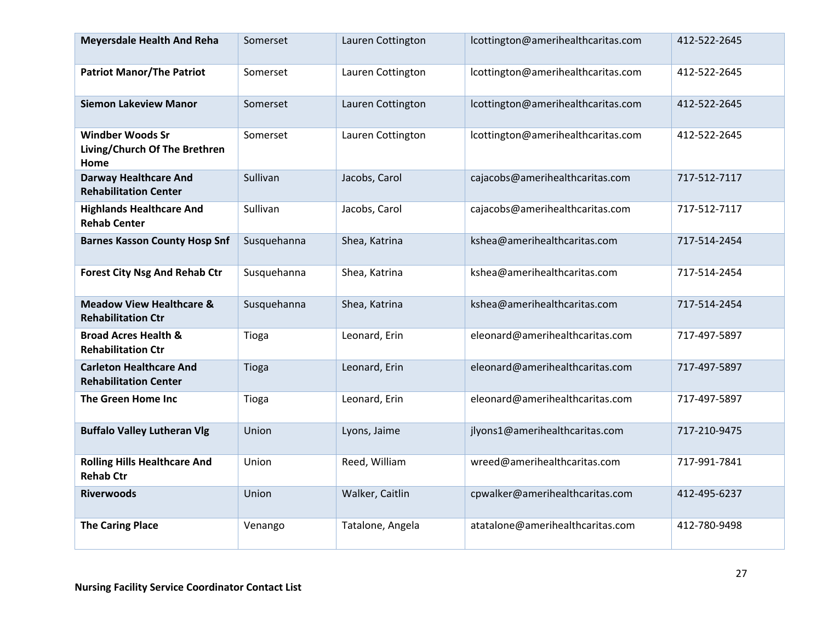| <b>Meyersdale Health And Reha</b>                                | Somerset    | Lauren Cottington | lcottington@amerihealthcaritas.com | 412-522-2645 |
|------------------------------------------------------------------|-------------|-------------------|------------------------------------|--------------|
| <b>Patriot Manor/The Patriot</b>                                 | Somerset    | Lauren Cottington | lcottington@amerihealthcaritas.com | 412-522-2645 |
| <b>Siemon Lakeview Manor</b>                                     | Somerset    | Lauren Cottington | lcottington@amerihealthcaritas.com | 412-522-2645 |
| <b>Windber Woods Sr</b><br>Living/Church Of The Brethren<br>Home | Somerset    | Lauren Cottington | lcottington@amerihealthcaritas.com | 412-522-2645 |
| <b>Darway Healthcare And</b><br><b>Rehabilitation Center</b>     | Sullivan    | Jacobs, Carol     | cajacobs@amerihealthcaritas.com    | 717-512-7117 |
| <b>Highlands Healthcare And</b><br><b>Rehab Center</b>           | Sullivan    | Jacobs, Carol     | cajacobs@amerihealthcaritas.com    | 717-512-7117 |
| <b>Barnes Kasson County Hosp Snf</b>                             | Susquehanna | Shea, Katrina     | kshea@amerihealthcaritas.com       | 717-514-2454 |
| <b>Forest City Nsg And Rehab Ctr</b>                             | Susquehanna | Shea, Katrina     | kshea@amerihealthcaritas.com       | 717-514-2454 |
| <b>Meadow View Healthcare &amp;</b><br><b>Rehabilitation Ctr</b> | Susquehanna | Shea, Katrina     | kshea@amerihealthcaritas.com       | 717-514-2454 |
| <b>Broad Acres Health &amp;</b><br><b>Rehabilitation Ctr</b>     | Tioga       | Leonard, Erin     | eleonard@amerihealthcaritas.com    | 717-497-5897 |
| <b>Carleton Healthcare And</b><br><b>Rehabilitation Center</b>   | Tioga       | Leonard, Erin     | eleonard@amerihealthcaritas.com    | 717-497-5897 |
| The Green Home Inc                                               | Tioga       | Leonard, Erin     | eleonard@amerihealthcaritas.com    | 717-497-5897 |
| <b>Buffalo Valley Lutheran Vlg</b>                               | Union       | Lyons, Jaime      | jlyons1@amerihealthcaritas.com     | 717-210-9475 |
| <b>Rolling Hills Healthcare And</b><br><b>Rehab Ctr</b>          | Union       | Reed, William     | wreed@amerihealthcaritas.com       | 717-991-7841 |
| <b>Riverwoods</b>                                                | Union       | Walker, Caitlin   | cpwalker@amerihealthcaritas.com    | 412-495-6237 |
| <b>The Caring Place</b>                                          | Venango     | Tatalone, Angela  | atatalone@amerihealthcaritas.com   | 412-780-9498 |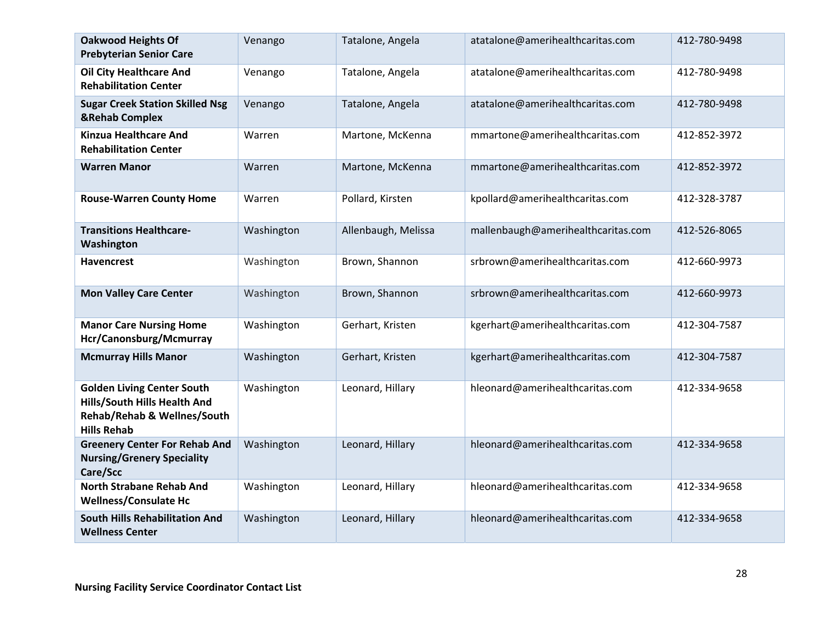| <b>Oakwood Heights Of</b><br><b>Prebyterian Senior Care</b>                                                            | Venango    | Tatalone, Angela    | atatalone@amerihealthcaritas.com   | 412-780-9498 |
|------------------------------------------------------------------------------------------------------------------------|------------|---------------------|------------------------------------|--------------|
| <b>Oil City Healthcare And</b><br><b>Rehabilitation Center</b>                                                         | Venango    | Tatalone, Angela    | atatalone@amerihealthcaritas.com   | 412-780-9498 |
| <b>Sugar Creek Station Skilled Nsg</b><br><b>&amp;Rehab Complex</b>                                                    | Venango    | Tatalone, Angela    | atatalone@amerihealthcaritas.com   | 412-780-9498 |
| <b>Kinzua Healthcare And</b><br><b>Rehabilitation Center</b>                                                           | Warren     | Martone, McKenna    | mmartone@amerihealthcaritas.com    | 412-852-3972 |
| <b>Warren Manor</b>                                                                                                    | Warren     | Martone, McKenna    | mmartone@amerihealthcaritas.com    | 412-852-3972 |
| <b>Rouse-Warren County Home</b>                                                                                        | Warren     | Pollard, Kirsten    | kpollard@amerihealthcaritas.com    | 412-328-3787 |
| <b>Transitions Healthcare-</b><br>Washington                                                                           | Washington | Allenbaugh, Melissa | mallenbaugh@amerihealthcaritas.com | 412-526-8065 |
| <b>Havencrest</b>                                                                                                      | Washington | Brown, Shannon      | srbrown@amerihealthcaritas.com     | 412-660-9973 |
| <b>Mon Valley Care Center</b>                                                                                          | Washington | Brown, Shannon      | srbrown@amerihealthcaritas.com     | 412-660-9973 |
| <b>Manor Care Nursing Home</b><br>Hcr/Canonsburg/Mcmurray                                                              | Washington | Gerhart, Kristen    | kgerhart@amerihealthcaritas.com    | 412-304-7587 |
| <b>Mcmurray Hills Manor</b>                                                                                            | Washington | Gerhart, Kristen    | kgerhart@amerihealthcaritas.com    | 412-304-7587 |
| <b>Golden Living Center South</b><br>Hills/South Hills Health And<br>Rehab/Rehab & Wellnes/South<br><b>Hills Rehab</b> | Washington | Leonard, Hillary    | hleonard@amerihealthcaritas.com    | 412-334-9658 |
| <b>Greenery Center For Rehab And</b><br><b>Nursing/Grenery Speciality</b><br>Care/Scc                                  | Washington | Leonard, Hillary    | hleonard@amerihealthcaritas.com    | 412-334-9658 |
| <b>North Strabane Rehab And</b><br><b>Wellness/Consulate Hc</b>                                                        | Washington | Leonard, Hillary    | hleonard@amerihealthcaritas.com    | 412-334-9658 |
| <b>South Hills Rehabilitation And</b><br><b>Wellness Center</b>                                                        | Washington | Leonard, Hillary    | hleonard@amerihealthcaritas.com    | 412-334-9658 |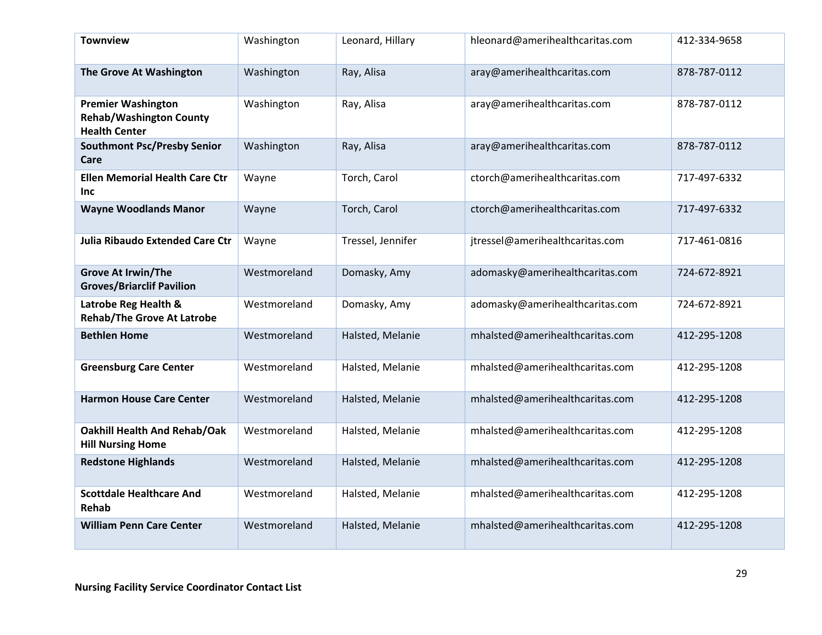| <b>Townview</b>                                                                     | Washington   | Leonard, Hillary  | hleonard@amerihealthcaritas.com | 412-334-9658 |
|-------------------------------------------------------------------------------------|--------------|-------------------|---------------------------------|--------------|
| The Grove At Washington                                                             | Washington   | Ray, Alisa        | aray@amerihealthcaritas.com     | 878-787-0112 |
| <b>Premier Washington</b><br><b>Rehab/Washington County</b><br><b>Health Center</b> | Washington   | Ray, Alisa        | aray@amerihealthcaritas.com     | 878-787-0112 |
| <b>Southmont Psc/Presby Senior</b><br>Care                                          | Washington   | Ray, Alisa        | aray@amerihealthcaritas.com     | 878-787-0112 |
| <b>Ellen Memorial Health Care Ctr</b><br>Inc                                        | Wayne        | Torch, Carol      | ctorch@amerihealthcaritas.com   | 717-497-6332 |
| <b>Wayne Woodlands Manor</b>                                                        | Wayne        | Torch, Carol      | ctorch@amerihealthcaritas.com   | 717-497-6332 |
| <b>Julia Ribaudo Extended Care Ctr</b>                                              | Wayne        | Tressel, Jennifer | jtressel@amerihealthcaritas.com | 717-461-0816 |
| <b>Grove At Irwin/The</b><br><b>Groves/Briarclif Pavilion</b>                       | Westmoreland | Domasky, Amy      | adomasky@amerihealthcaritas.com | 724-672-8921 |
| Latrobe Reg Health &<br><b>Rehab/The Grove At Latrobe</b>                           | Westmoreland | Domasky, Amy      | adomasky@amerihealthcaritas.com | 724-672-8921 |
| <b>Bethlen Home</b>                                                                 | Westmoreland | Halsted, Melanie  | mhalsted@amerihealthcaritas.com | 412-295-1208 |
| <b>Greensburg Care Center</b>                                                       | Westmoreland | Halsted, Melanie  | mhalsted@amerihealthcaritas.com | 412-295-1208 |
| <b>Harmon House Care Center</b>                                                     | Westmoreland | Halsted, Melanie  | mhalsted@amerihealthcaritas.com | 412-295-1208 |
| <b>Oakhill Health And Rehab/Oak</b><br><b>Hill Nursing Home</b>                     | Westmoreland | Halsted, Melanie  | mhalsted@amerihealthcaritas.com | 412-295-1208 |
| <b>Redstone Highlands</b>                                                           | Westmoreland | Halsted, Melanie  | mhalsted@amerihealthcaritas.com | 412-295-1208 |
| <b>Scottdale Healthcare And</b><br>Rehab                                            | Westmoreland | Halsted, Melanie  | mhalsted@amerihealthcaritas.com | 412-295-1208 |
| <b>William Penn Care Center</b>                                                     | Westmoreland | Halsted, Melanie  | mhalsted@amerihealthcaritas.com | 412-295-1208 |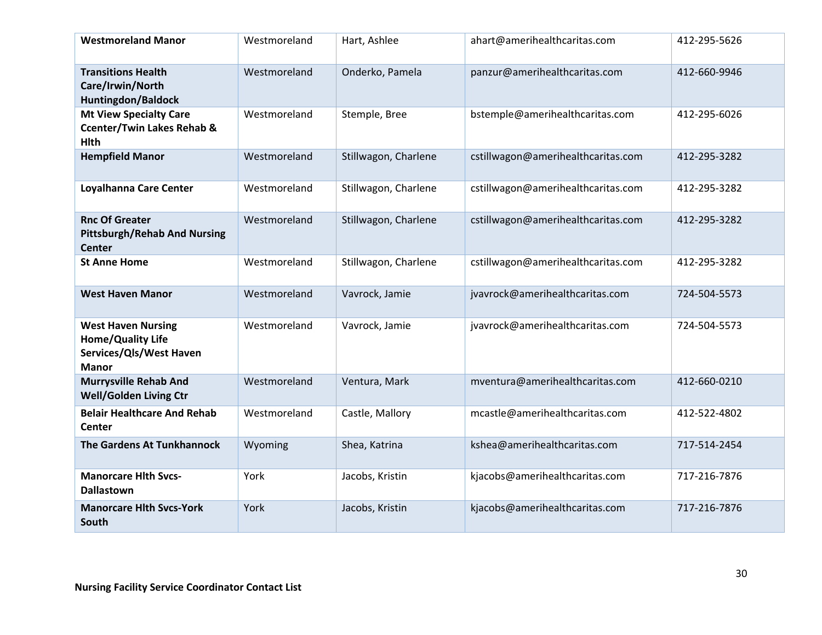| <b>Westmoreland Manor</b>                                                                        | Westmoreland | Hart, Ashlee         | ahart@amerihealthcaritas.com       | 412-295-5626 |
|--------------------------------------------------------------------------------------------------|--------------|----------------------|------------------------------------|--------------|
| <b>Transitions Health</b><br>Care/Irwin/North<br>Huntingdon/Baldock                              | Westmoreland | Onderko, Pamela      | panzur@amerihealthcaritas.com      | 412-660-9946 |
| <b>Mt View Specialty Care</b><br><b>Ccenter/Twin Lakes Rehab &amp;</b><br><b>Hlth</b>            | Westmoreland | Stemple, Bree        | bstemple@amerihealthcaritas.com    | 412-295-6026 |
| <b>Hempfield Manor</b>                                                                           | Westmoreland | Stillwagon, Charlene | cstillwagon@amerihealthcaritas.com | 412-295-3282 |
| Loyalhanna Care Center                                                                           | Westmoreland | Stillwagon, Charlene | cstillwagon@amerihealthcaritas.com | 412-295-3282 |
| <b>Rnc Of Greater</b><br><b>Pittsburgh/Rehab And Nursing</b><br><b>Center</b>                    | Westmoreland | Stillwagon, Charlene | cstillwagon@amerihealthcaritas.com | 412-295-3282 |
| <b>St Anne Home</b>                                                                              | Westmoreland | Stillwagon, Charlene | cstillwagon@amerihealthcaritas.com | 412-295-3282 |
| <b>West Haven Manor</b>                                                                          | Westmoreland | Vavrock, Jamie       | jvavrock@amerihealthcaritas.com    | 724-504-5573 |
| <b>West Haven Nursing</b><br><b>Home/Quality Life</b><br>Services/Qls/West Haven<br><b>Manor</b> | Westmoreland | Vavrock, Jamie       | jvavrock@amerihealthcaritas.com    | 724-504-5573 |
| <b>Murrysville Rehab And</b><br><b>Well/Golden Living Ctr</b>                                    | Westmoreland | Ventura, Mark        | mventura@amerihealthcaritas.com    | 412-660-0210 |
| <b>Belair Healthcare And Rehab</b><br>Center                                                     | Westmoreland | Castle, Mallory      | mcastle@amerihealthcaritas.com     | 412-522-4802 |
| The Gardens At Tunkhannock                                                                       | Wyoming      | Shea, Katrina        | kshea@amerihealthcaritas.com       | 717-514-2454 |
| <b>Manorcare Hith Svcs-</b><br><b>Dallastown</b>                                                 | York         | Jacobs, Kristin      | kjacobs@amerihealthcaritas.com     | 717-216-7876 |
| <b>Manorcare Hith Svcs-York</b><br>South                                                         | York         | Jacobs, Kristin      | kjacobs@amerihealthcaritas.com     | 717-216-7876 |